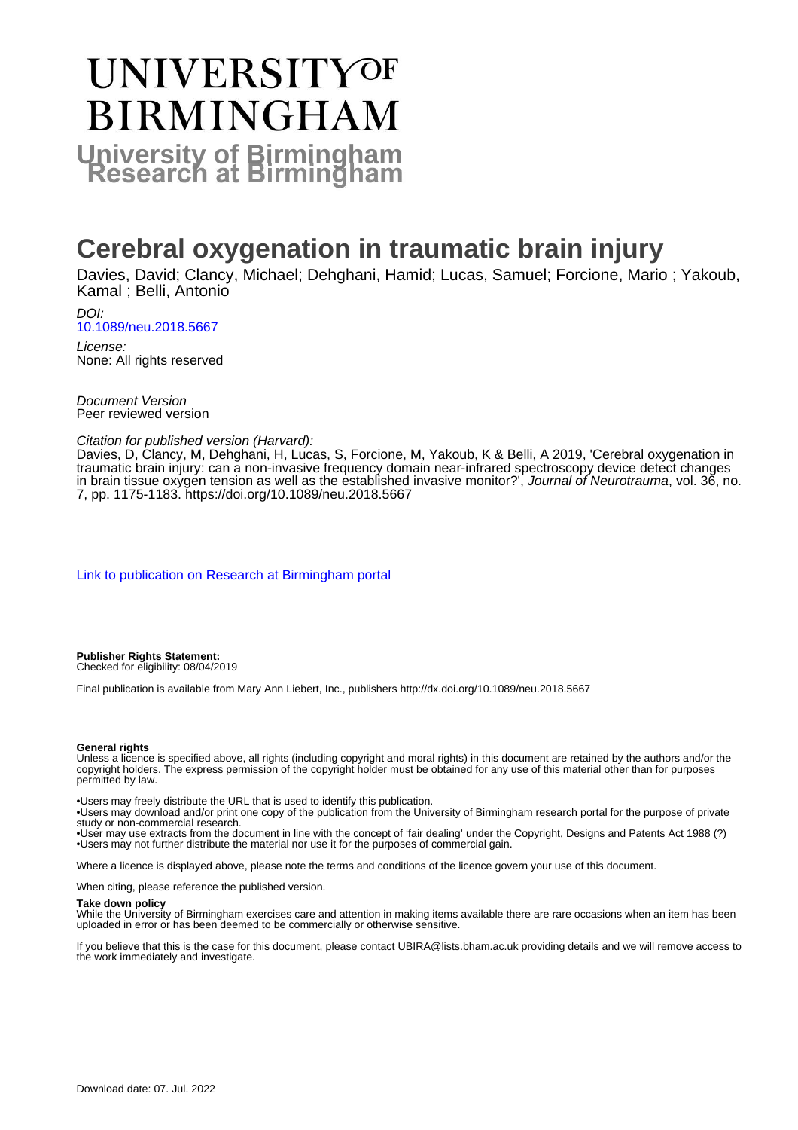# UNIVERSITYOF **BIRMINGHAM University of Birmingham**

# **Cerebral oxygenation in traumatic brain injury**

Davies, David; Clancy, Michael; Dehghani, Hamid; Lucas, Samuel; Forcione, Mario ; Yakoub, Kamal ; Belli, Antonio

DOI: [10.1089/neu.2018.5667](https://doi.org/10.1089/neu.2018.5667)

License: None: All rights reserved

Document Version Peer reviewed version

#### Citation for published version (Harvard):

Davies, D, Clancy, M, Dehghani, H, Lucas, S, Forcione, M, Yakoub, K & Belli, A 2019, 'Cerebral oxygenation in traumatic brain injury: can a non-invasive frequency domain near-infrared spectroscopy device detect changes in brain tissue oxygen tension as well as the established invasive monitor?', Journal of Neurotrauma, vol. 36, no. 7, pp. 1175-1183.<https://doi.org/10.1089/neu.2018.5667>

[Link to publication on Research at Birmingham portal](https://birmingham.elsevierpure.com/en/publications/02f97f52-57b6-4cd4-8158-467da3232239)

**Publisher Rights Statement:** Checked for eligibility: 08/04/2019

Final publication is available from Mary Ann Liebert, Inc., publishers http://dx.doi.org/10.1089/neu.2018.5667

#### **General rights**

Unless a licence is specified above, all rights (including copyright and moral rights) in this document are retained by the authors and/or the copyright holders. The express permission of the copyright holder must be obtained for any use of this material other than for purposes permitted by law.

• Users may freely distribute the URL that is used to identify this publication.

• Users may download and/or print one copy of the publication from the University of Birmingham research portal for the purpose of private study or non-commercial research.

• User may use extracts from the document in line with the concept of 'fair dealing' under the Copyright, Designs and Patents Act 1988 (?) • Users may not further distribute the material nor use it for the purposes of commercial gain.

Where a licence is displayed above, please note the terms and conditions of the licence govern your use of this document.

When citing, please reference the published version.

#### **Take down policy**

While the University of Birmingham exercises care and attention in making items available there are rare occasions when an item has been uploaded in error or has been deemed to be commercially or otherwise sensitive.

If you believe that this is the case for this document, please contact UBIRA@lists.bham.ac.uk providing details and we will remove access to the work immediately and investigate.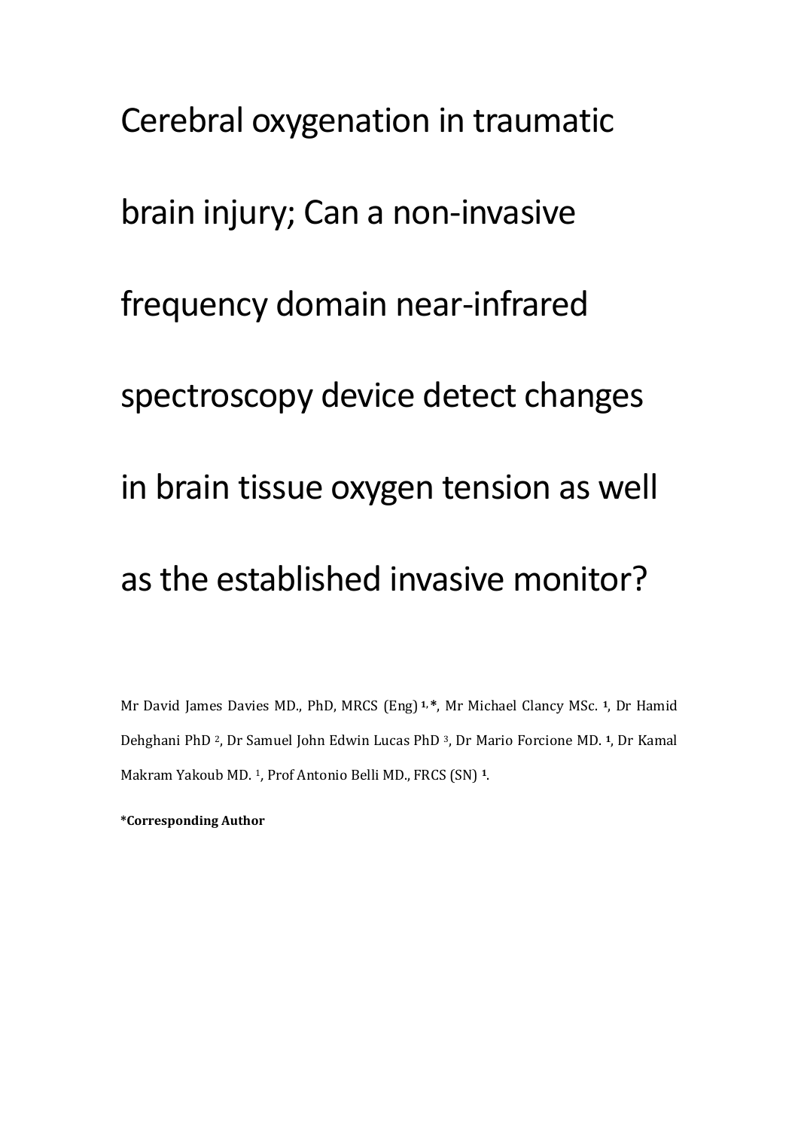Cerebral oxygenation in traumatic brain injury; Can a non-invasive frequency domain near-infrared spectroscopy device detect changes in brain tissue oxygen tension as well as the established invasive monitor?

Mr David James Davies MD., PhD, MRCS (Eng) **1, \***, Mr Michael Clancy MSc. **<sup>1</sup>**, Dr Hamid Dehghani PhD 2, Dr Samuel John Edwin Lucas PhD 3, Dr Mario Forcione MD. **<sup>1</sup>**, Dr Kamal Makram Yakoub MD. <sup>1</sup>, Prof Antonio Belli MD., FRCS (SN) **1**.

**\*Corresponding Author**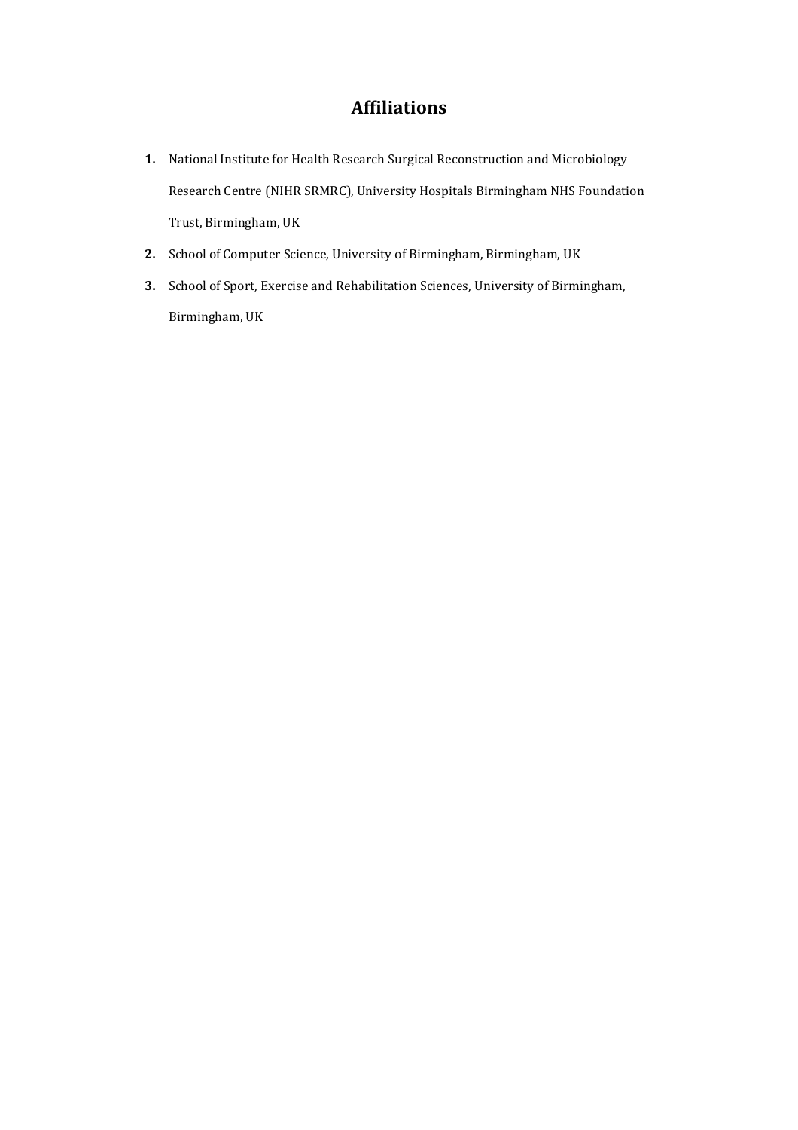## **Affiliations**

- **1.** National Institute for Health Research Surgical Reconstruction and Microbiology Research Centre (NIHR SRMRC), University Hospitals Birmingham NHS Foundation Trust, Birmingham, UK
- **2.** School of Computer Science, University of Birmingham, Birmingham, UK
- **3.** School of Sport, Exercise and Rehabilitation Sciences, University of Birmingham, Birmingham, UK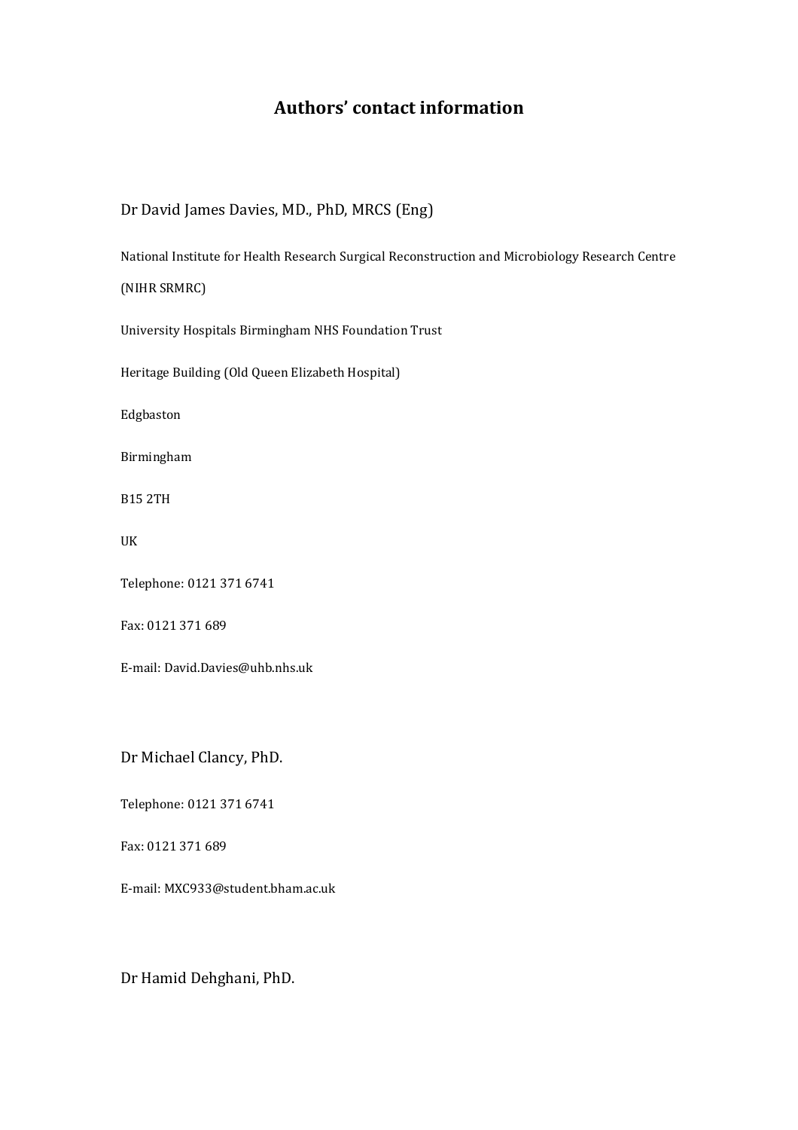## **Authors' contact information**

Dr David James Davies, MD., PhD, MRCS (Eng)

National Institute for Health Research Surgical Reconstruction and Microbiology Research Centre

(NIHR SRMRC)

University Hospitals Birmingham NHS Foundation Trust

Heritage Building (Old Queen Elizabeth Hospital)

Edgbaston

Birmingham

B15 2TH

UK

Telephone: 0121 371 6741

Fax: 0121 371 689

E-mail: [David.Davies@uhb.nhs.uk](mailto:David.Davies@uhb.nhs.uk)

Dr Michael Clancy, PhD.

Telephone: 0121 371 6741

Fax: 0121 371 689

E-mail: MXC933@student.bham.ac.uk

Dr Hamid Dehghani, PhD.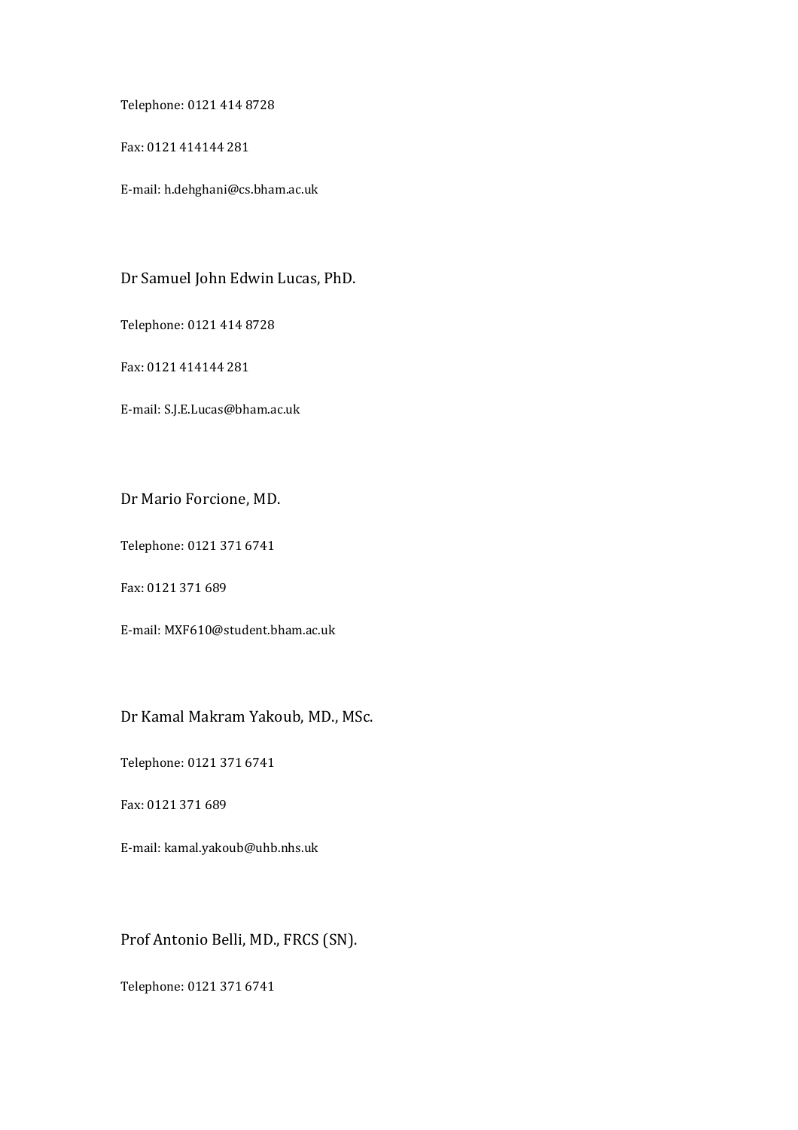Telephone: 0121 414 8728

Fax: 0121 414144 281

E-mail: h.dehghani@cs.bham.ac.uk

Dr Samuel John Edwin Lucas, PhD.

Telephone: 0121 414 8728

Fax: 0121 414144 281

E-mail: S.J.E.Lucas@bham.ac.uk

#### Dr Mario Forcione, MD.

Telephone: 0121 371 6741

Fax: 0121 371 689

E-mail: MXF610@student.bham.ac.uk

#### Dr Kamal Makram Yakoub, MD., MSc.

Telephone: 0121 371 6741

Fax: 0121 371 689

E-mail[: kamal.yakoub@uhb.nhs.uk](mailto:kamal.yakoub@uhb.nhs.uk)

## Prof Antonio Belli, MD., FRCS (SN).

Telephone: 0121 371 6741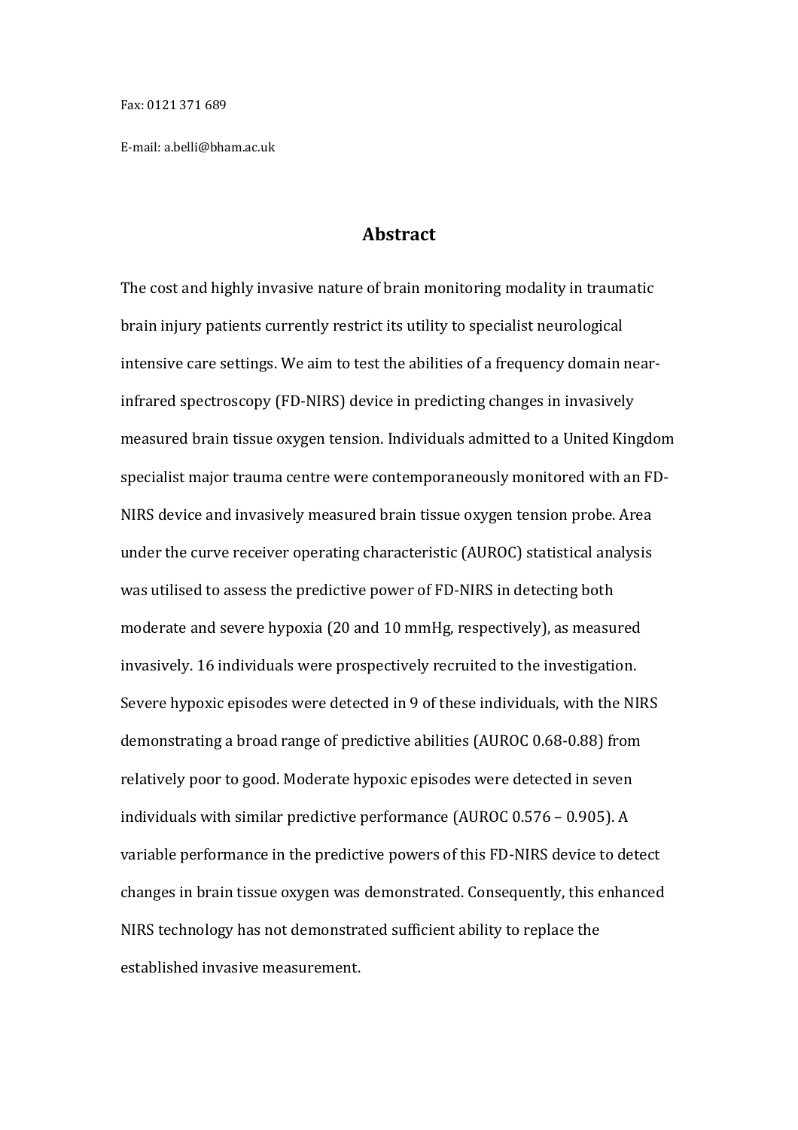Fax: 0121 371 689

E-mail: [a.belli@bham.ac.uk](mailto:a.belli@bham.ac.uk)

#### **Abstract**

The cost and highly invasive nature of brain monitoring modality in traumatic brain injury patients currently restrict its utility to specialist neurological intensive care settings. We aim to test the abilities of a frequency domain nearinfrared spectroscopy (FD-NIRS) device in predicting changes in invasively measured brain tissue oxygen tension. Individuals admitted to a United Kingdom specialist major trauma centre were contemporaneously monitored with an FD-NIRS device and invasively measured brain tissue oxygen tension probe. Area under the curve receiver operating characteristic (AUROC) statistical analysis was utilised to assess the predictive power of FD-NIRS in detecting both moderate and severe hypoxia (20 and 10 mmHg, respectively), as measured invasively. 16 individuals were prospectively recruited to the investigation. Severe hypoxic episodes were detected in 9 of these individuals, with the NIRS demonstrating a broad range of predictive abilities (AUROC 0.68-0.88) from relatively poor to good. Moderate hypoxic episodes were detected in seven individuals with similar predictive performance (AUROC 0.576 – 0.905). A variable performance in the predictive powers of this FD-NIRS device to detect changes in brain tissue oxygen was demonstrated. Consequently, this enhanced NIRS technology has not demonstrated sufficient ability to replace the established invasive measurement.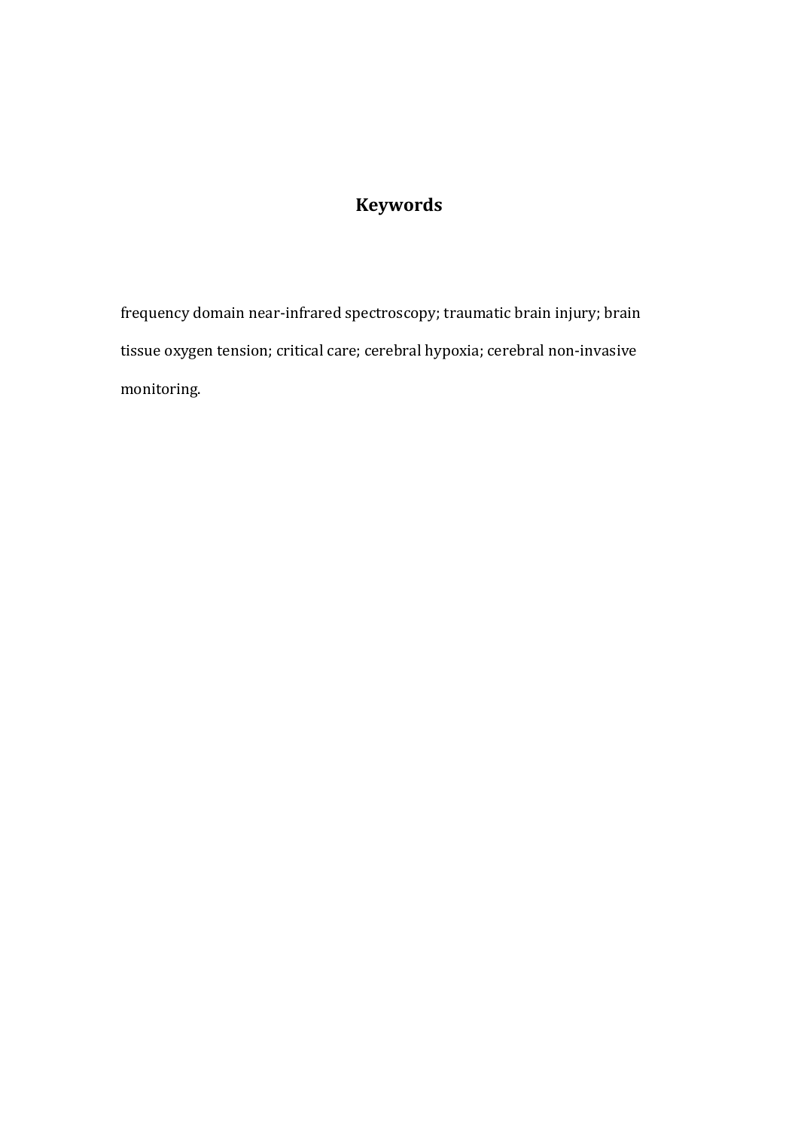## **Keywords**

frequency domain near-infrared spectroscopy; traumatic brain injury; brain tissue oxygen tension; critical care; cerebral hypoxia; cerebral non-invasive monitoring.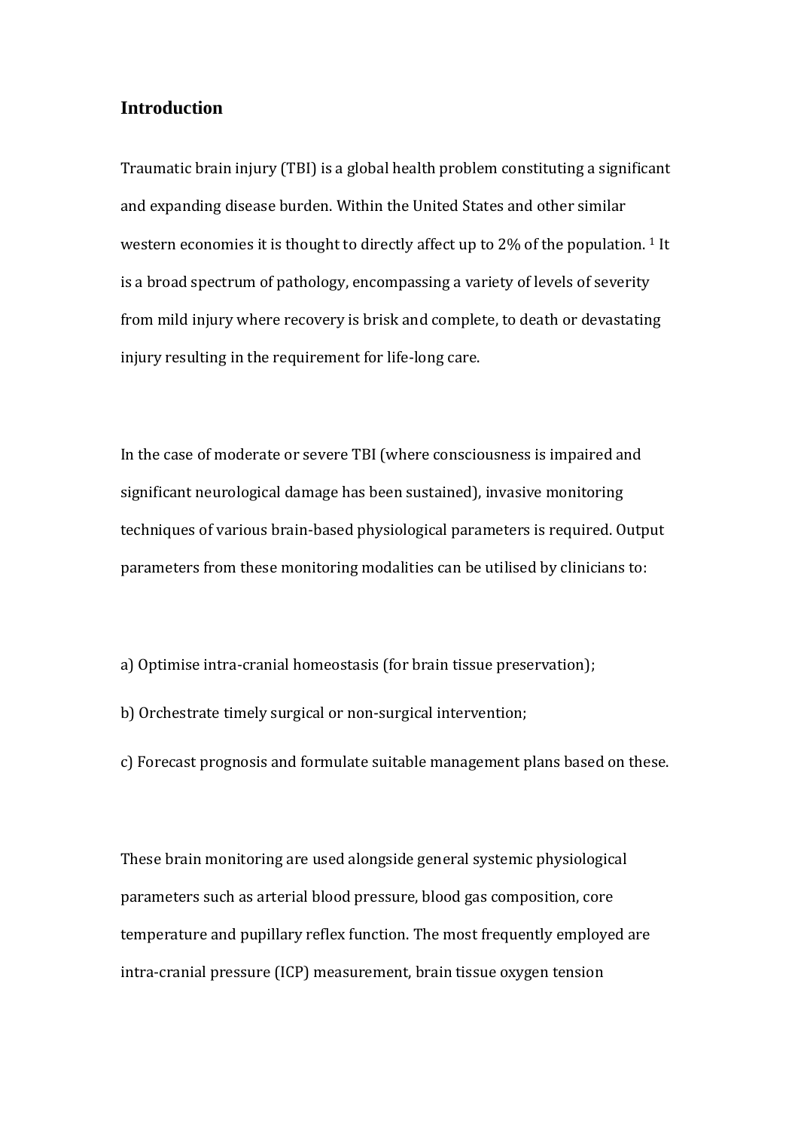### **Introduction**

Traumatic brain injury (TBI) is a global health problem constituting a significant and expanding disease burden. Within the United States and other similar western economies it is thought to directly affect up to 2% of the population. <sup>1</sup> It is a broad spectrum of pathology, encompassing a variety of levels of severity from mild injury where recovery is brisk and complete, to death or devastating injury resulting in the requirement for life-long care.

In the case of moderate or severe TBI (where consciousness is impaired and significant neurological damage has been sustained), invasive monitoring techniques of various brain-based physiological parameters is required. Output parameters from these monitoring modalities can be utilised by clinicians to:

a) Optimise intra-cranial homeostasis (for brain tissue preservation);

- b) Orchestrate timely surgical or non-surgical intervention;
- c) Forecast prognosis and formulate suitable management plans based on these.

These brain monitoring are used alongside general systemic physiological parameters such as arterial blood pressure, blood gas composition, core temperature and pupillary reflex function. The most frequently employed are intra-cranial pressure (ICP) measurement, brain tissue oxygen tension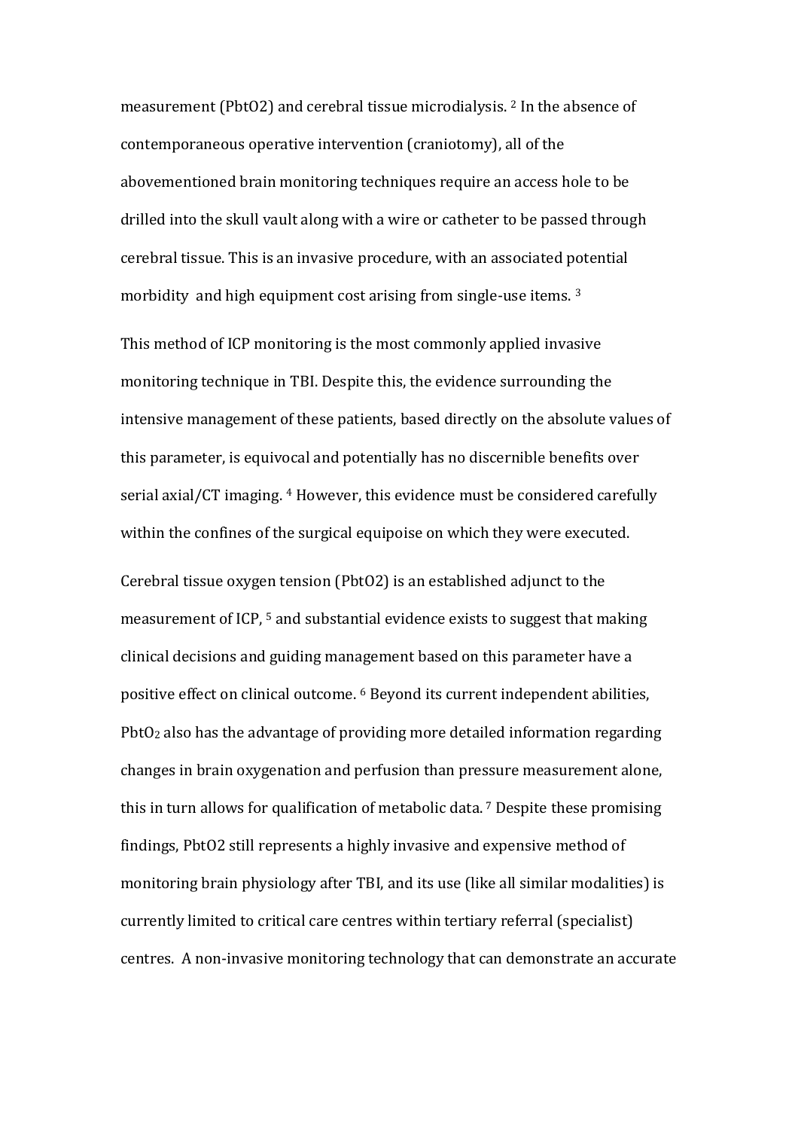measurement (PbtO2) and cerebral tissue microdialysis. <sup>2</sup> In the absence of contemporaneous operative intervention (craniotomy), all of the abovementioned brain monitoring techniques require an access hole to be drilled into the skull vault along with a wire or catheter to be passed through cerebral tissue. This is an invasive procedure, with an associated potential morbidity and high equipment cost arising from single-use items. 3

This method of ICP monitoring is the most commonly applied invasive monitoring technique in TBI. Despite this, the evidence surrounding the intensive management of these patients, based directly on the absolute values of this parameter, is equivocal and potentially has no discernible benefits over serial axial/CT imaging. <sup>4</sup> However, this evidence must be considered carefully within the confines of the surgical equipoise on which they were executed.

Cerebral tissue oxygen tension (PbtO2) is an established adjunct to the measurement of ICP, <sup>5</sup> and substantial evidence exists to suggest that making clinical decisions and guiding management based on this parameter have a positive effect on clinical outcome. <sup>6</sup> Beyond its current independent abilities, PbtO<sup>2</sup> also has the advantage of providing more detailed information regarding changes in brain oxygenation and perfusion than pressure measurement alone, this in turn allows for qualification of metabolic data. <sup>7</sup> Despite these promising findings, PbtO2 still represents a highly invasive and expensive method of monitoring brain physiology after TBI, and its use (like all similar modalities) is currently limited to critical care centres within tertiary referral (specialist) centres. A non-invasive monitoring technology that can demonstrate an accurate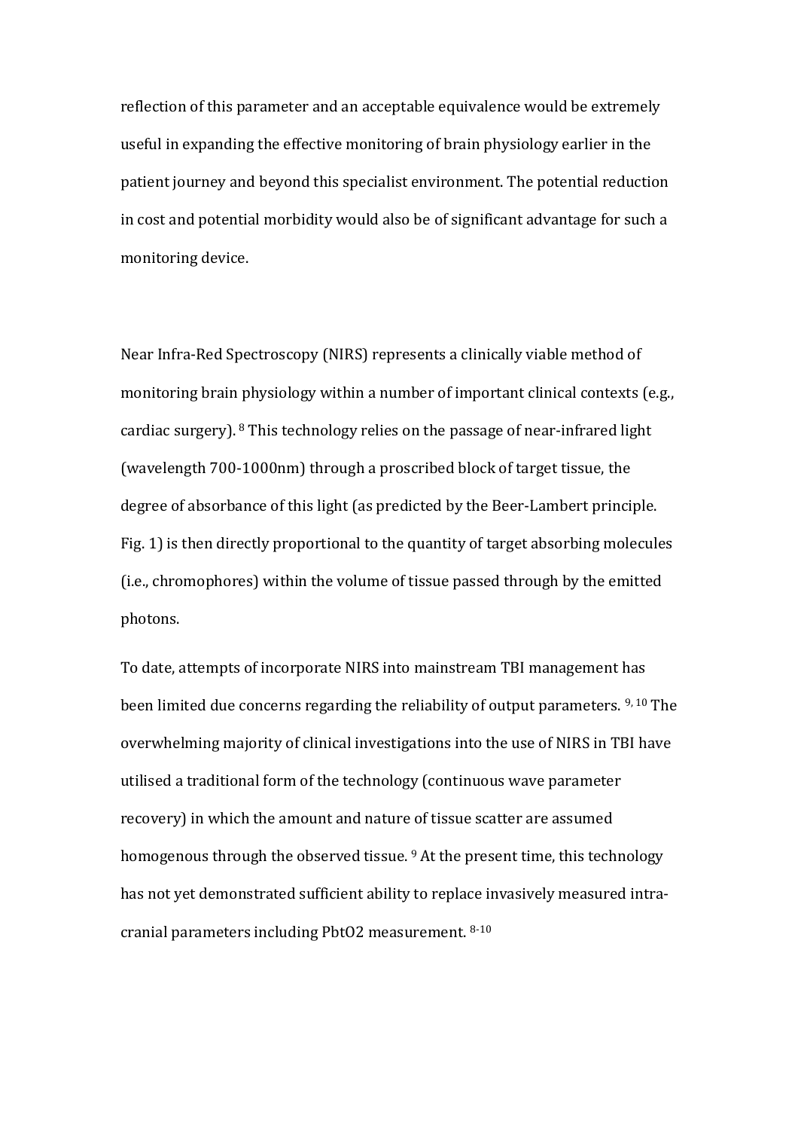reflection of this parameter and an acceptable equivalence would be extremely useful in expanding the effective monitoring of brain physiology earlier in the patient journey and beyond this specialist environment. The potential reduction in cost and potential morbidity would also be of significant advantage for such a monitoring device.

Near Infra-Red Spectroscopy (NIRS) represents a clinically viable method of monitoring brain physiology within a number of important clinical contexts (e.g., cardiac surgery). <sup>8</sup> This technology relies on the passage of near-infrared light (wavelength 700-1000nm) through a proscribed block of target tissue, the degree of absorbance of this light (as predicted by the Beer-Lambert principle. Fig. 1) is then directly proportional to the quantity of target absorbing molecules (i.e., chromophores) within the volume of tissue passed through by the emitted photons.

To date, attempts of incorporate NIRS into mainstream TBI management has been limited due concerns regarding the reliability of output parameters. 9, 10 The overwhelming majority of clinical investigations into the use of NIRS in TBI have utilised a traditional form of the technology (continuous wave parameter recovery) in which the amount and nature of tissue scatter are assumed homogenous through the observed tissue. <sup>9</sup>At the present time, this technology has not yet demonstrated sufficient ability to replace invasively measured intracranial parameters including PbtO2 measurement. 8-10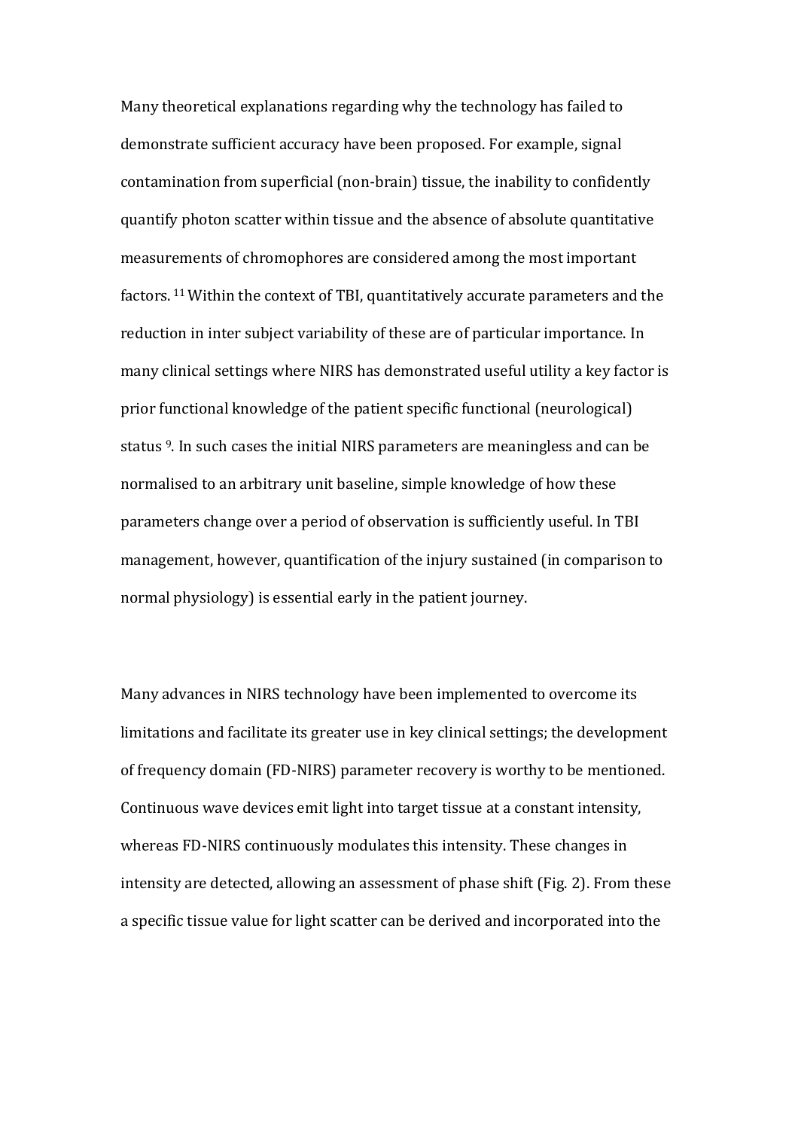Many theoretical explanations regarding why the technology has failed to demonstrate sufficient accuracy have been proposed. For example, signal contamination from superficial (non-brain) tissue, the inability to confidently quantify photon scatter within tissue and the absence of absolute quantitative measurements of chromophores are considered among the most important factors. <sup>11</sup>Within the context of TBI, quantitatively accurate parameters and the reduction in inter subject variability of these are of particular importance. In many clinical settings where NIRS has demonstrated useful utility a key factor is prior functional knowledge of the patient specific functional (neurological) status <sup>9</sup>. In such cases the initial NIRS parameters are meaningless and can be normalised to an arbitrary unit baseline, simple knowledge of how these parameters change over a period of observation is sufficiently useful. In TBI management, however, quantification of the injury sustained (in comparison to normal physiology) is essential early in the patient journey.

Many advances in NIRS technology have been implemented to overcome its limitations and facilitate its greater use in key clinical settings; the development of frequency domain (FD-NIRS) parameter recovery is worthy to be mentioned. Continuous wave devices emit light into target tissue at a constant intensity, whereas FD-NIRS continuously modulates this intensity. These changes in intensity are detected, allowing an assessment of phase shift (Fig. 2). From these a specific tissue value for light scatter can be derived and incorporated into the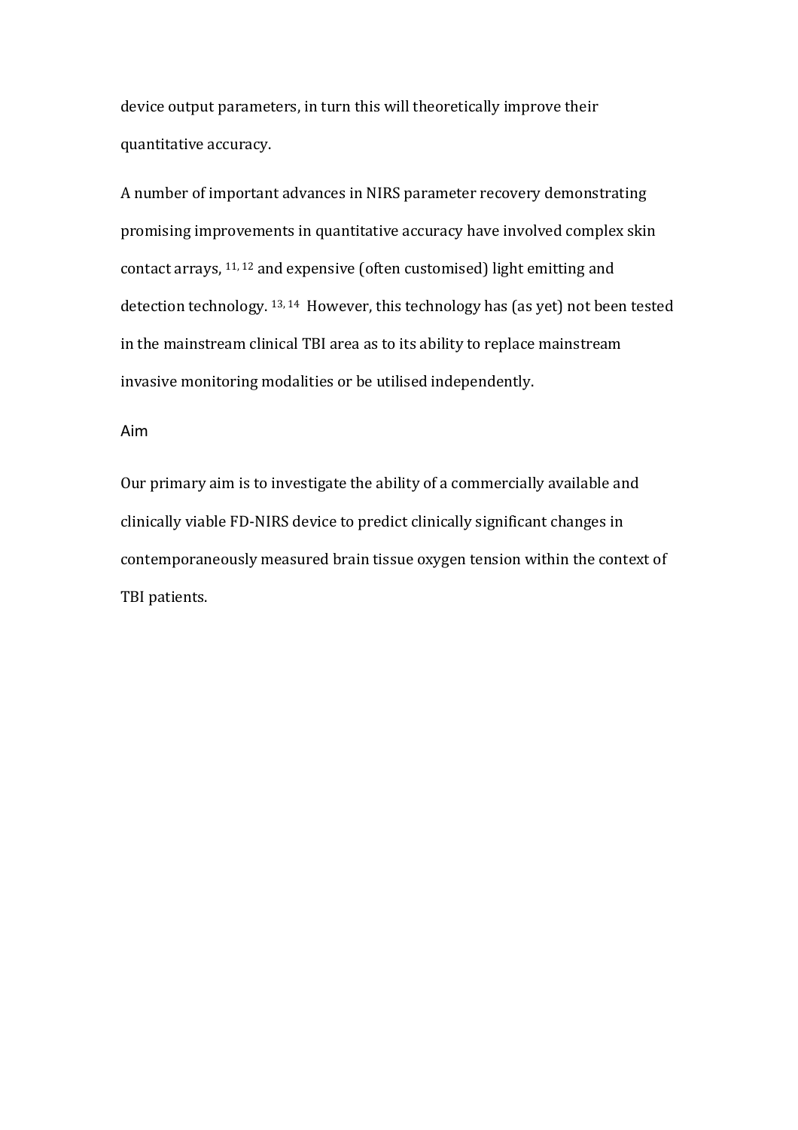device output parameters, in turn this will theoretically improve their quantitative accuracy.

A number of important advances in NIRS parameter recovery demonstrating promising improvements in quantitative accuracy have involved complex skin contact arrays, 11, <sup>12</sup> and expensive (often customised) light emitting and detection technology. 13, 14 However, this technology has (as yet) not been tested in the mainstream clinical TBI area as to its ability to replace mainstream invasive monitoring modalities or be utilised independently.

#### Aim

Our primary aim is to investigate the ability of a commercially available and clinically viable FD-NIRS device to predict clinically significant changes in contemporaneously measured brain tissue oxygen tension within the context of TBI patients.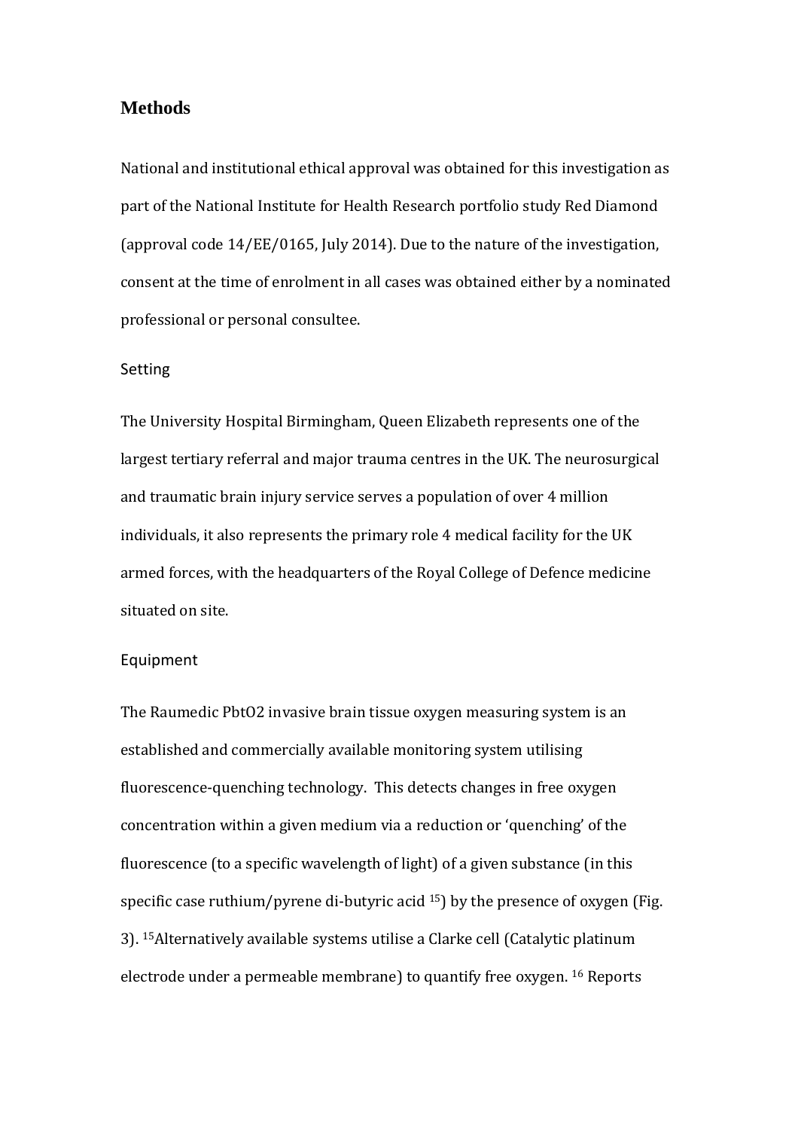#### **Methods**

National and institutional ethical approval was obtained for this investigation as part of the National Institute for Health Research portfolio study Red Diamond (approval code 14/EE/0165, July 2014). Due to the nature of the investigation, consent at the time of enrolment in all cases was obtained either by a nominated professional or personal consultee.

#### Setting

The University Hospital Birmingham, Queen Elizabeth represents one of the largest tertiary referral and major trauma centres in the UK. The neurosurgical and traumatic brain injury service serves a population of over 4 million individuals, it also represents the primary role 4 medical facility for the UK armed forces, with the headquarters of the Royal College of Defence medicine situated on site.

#### Equipment

The Raumedic PbtO2 invasive brain tissue oxygen measuring system is an established and commercially available monitoring system utilising fluorescence-quenching technology. This detects changes in free oxygen concentration within a given medium via a reduction or 'quenching' of the fluorescence (to a specific wavelength of light) of a given substance (in this specific case ruthium/pyrene di-butyric acid <sup>15</sup>) by the presence of oxygen (Fig. 3). <sup>15</sup>Alternatively available systems utilise a Clarke cell (Catalytic platinum electrode under a permeable membrane) to quantify free oxygen. <sup>16</sup> Reports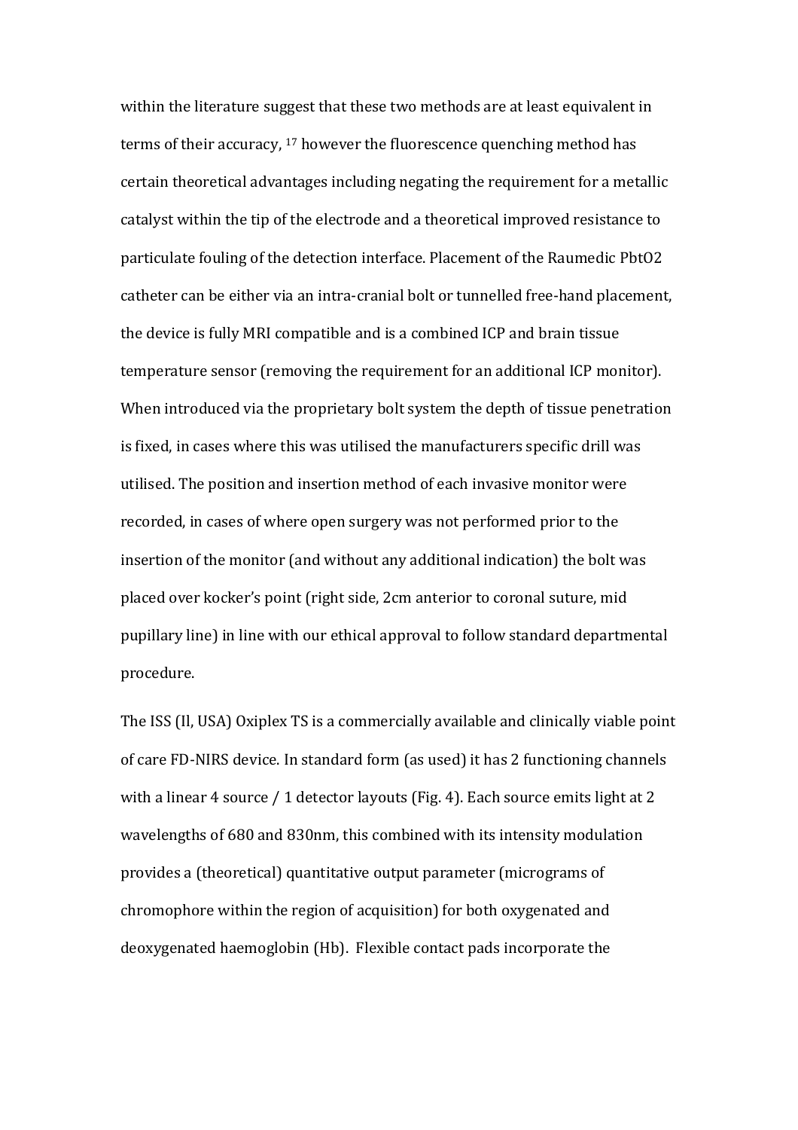within the literature suggest that these two methods are at least equivalent in terms of their accuracy, <sup>17</sup> however the fluorescence quenching method has certain theoretical advantages including negating the requirement for a metallic catalyst within the tip of the electrode and a theoretical improved resistance to particulate fouling of the detection interface. Placement of the Raumedic PbtO2 catheter can be either via an intra-cranial bolt or tunnelled free-hand placement, the device is fully MRI compatible and is a combined ICP and brain tissue temperature sensor (removing the requirement for an additional ICP monitor). When introduced via the proprietary bolt system the depth of tissue penetration is fixed, in cases where this was utilised the manufacturers specific drill was utilised. The position and insertion method of each invasive monitor were recorded, in cases of where open surgery was not performed prior to the insertion of the monitor (and without any additional indication) the bolt was placed over kocker's point (right side, 2cm anterior to coronal suture, mid pupillary line) in line with our ethical approval to follow standard departmental procedure.

The ISS (Il, USA) Oxiplex TS is a commercially available and clinically viable point of care FD-NIRS device. In standard form (as used) it has 2 functioning channels with a linear 4 source / 1 detector layouts (Fig. 4). Each source emits light at 2 wavelengths of 680 and 830nm, this combined with its intensity modulation provides a (theoretical) quantitative output parameter (micrograms of chromophore within the region of acquisition) for both oxygenated and deoxygenated haemoglobin (Hb). Flexible contact pads incorporate the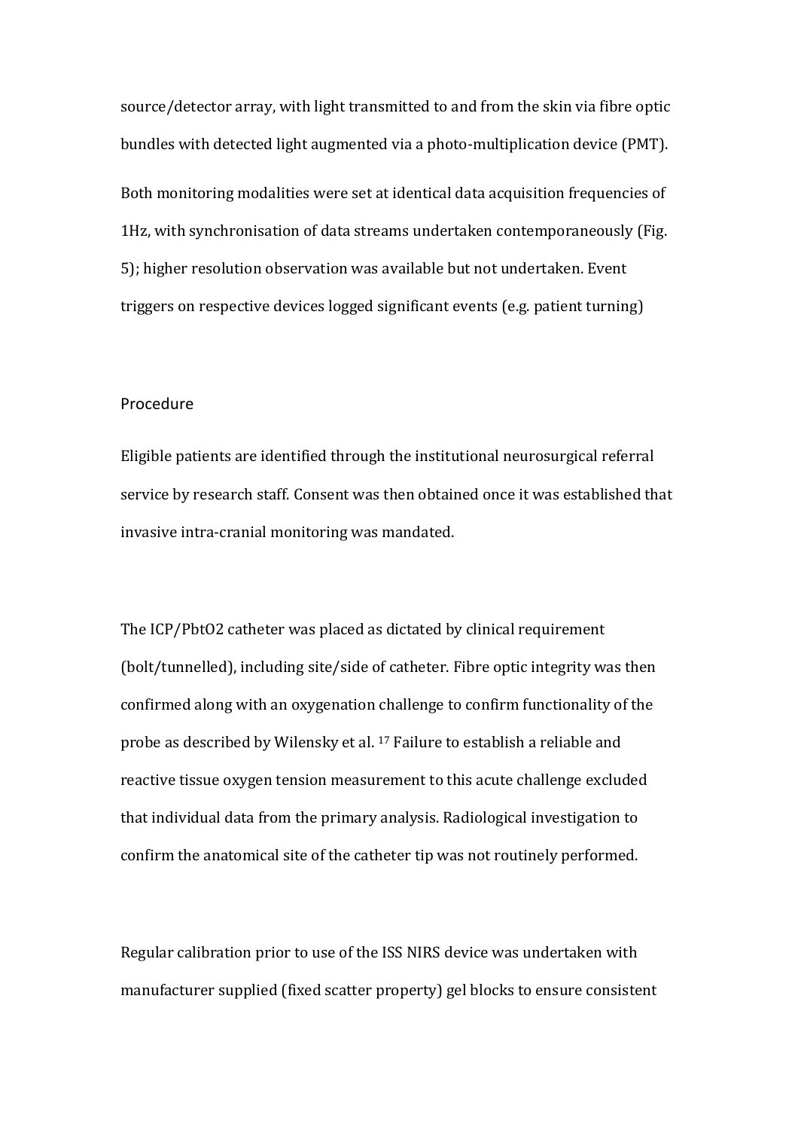source/detector array, with light transmitted to and from the skin via fibre optic bundles with detected light augmented via a photo-multiplication device (PMT). Both monitoring modalities were set at identical data acquisition frequencies of 1Hz, with synchronisation of data streams undertaken contemporaneously (Fig. 5); higher resolution observation was available but not undertaken. Event triggers on respective devices logged significant events (e.g. patient turning)

#### Procedure

Eligible patients are identified through the institutional neurosurgical referral service by research staff. Consent was then obtained once it was established that invasive intra-cranial monitoring was mandated.

The ICP/PbtO2 catheter was placed as dictated by clinical requirement (bolt/tunnelled), including site/side of catheter. Fibre optic integrity was then confirmed along with an oxygenation challenge to confirm functionality of the probe as described by Wilensky et al. <sup>17</sup> Failure to establish a reliable and reactive tissue oxygen tension measurement to this acute challenge excluded that individual data from the primary analysis. Radiological investigation to confirm the anatomical site of the catheter tip was not routinely performed.

Regular calibration prior to use of the ISS NIRS device was undertaken with manufacturer supplied (fixed scatter property) gel blocks to ensure consistent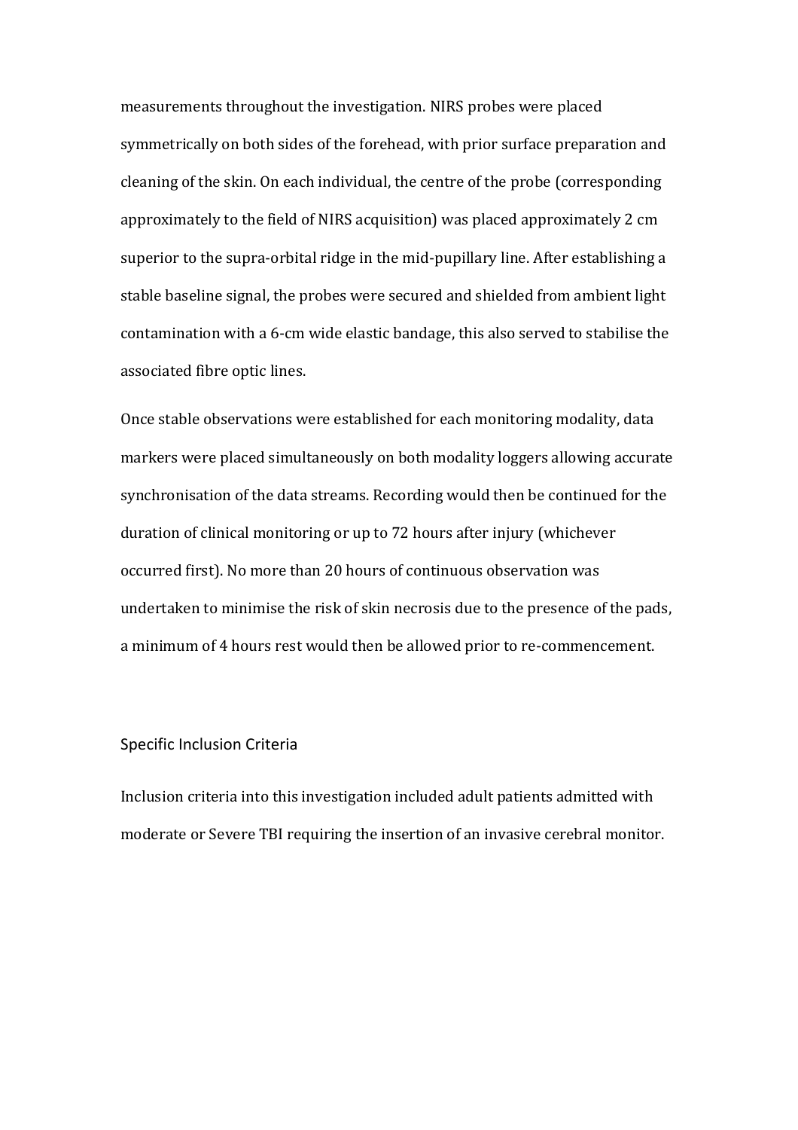measurements throughout the investigation. NIRS probes were placed symmetrically on both sides of the forehead, with prior surface preparation and cleaning of the skin. On each individual, the centre of the probe (corresponding approximately to the field of NIRS acquisition) was placed approximately 2 cm superior to the supra-orbital ridge in the mid-pupillary line. After establishing a stable baseline signal, the probes were secured and shielded from ambient light contamination with a 6-cm wide elastic bandage, this also served to stabilise the associated fibre optic lines.

Once stable observations were established for each monitoring modality, data markers were placed simultaneously on both modality loggers allowing accurate synchronisation of the data streams. Recording would then be continued for the duration of clinical monitoring or up to 72 hours after injury (whichever occurred first). No more than 20 hours of continuous observation was undertaken to minimise the risk of skin necrosis due to the presence of the pads, a minimum of 4 hours rest would then be allowed prior to re-commencement.

#### Specific Inclusion Criteria

Inclusion criteria into this investigation included adult patients admitted with moderate or Severe TBI requiring the insertion of an invasive cerebral monitor.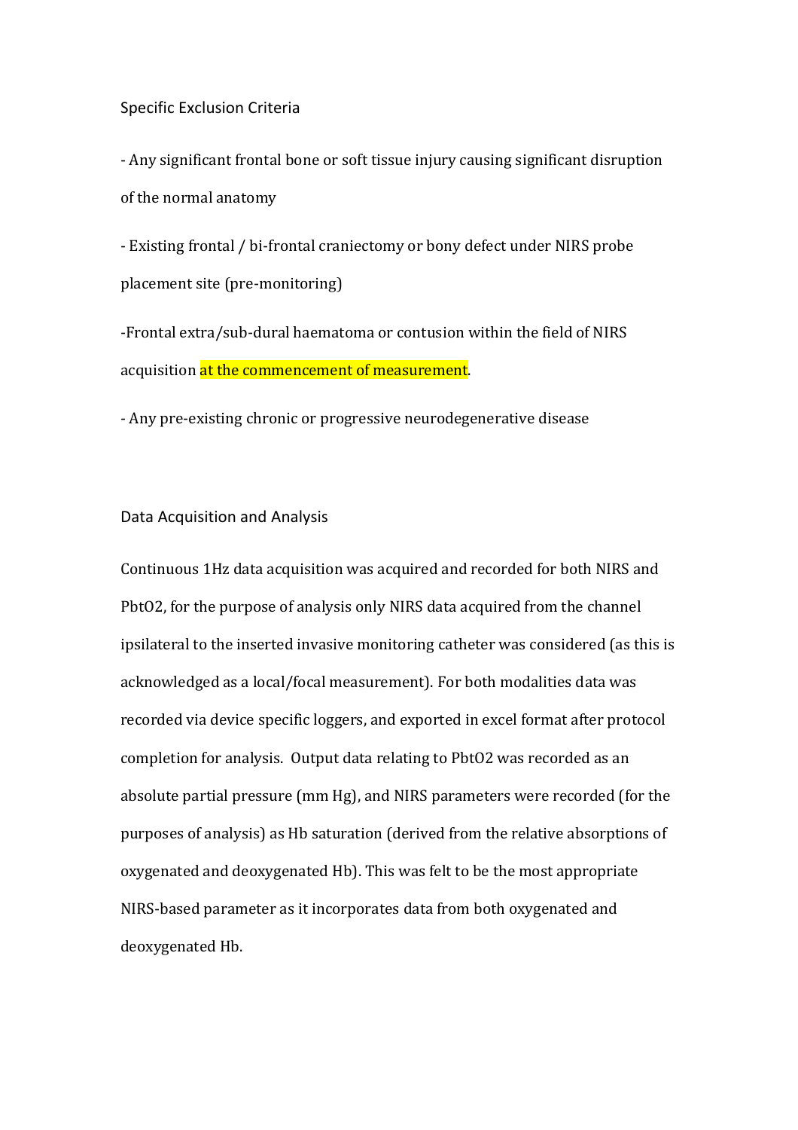Specific Exclusion Criteria

- Any significant frontal bone or soft tissue injury causing significant disruption of the normal anatomy

- Existing frontal / bi-frontal craniectomy or bony defect under NIRS probe placement site (pre-monitoring)

-Frontal extra/sub-dural haematoma or contusion within the field of NIRS acquisition at the commencement of measurement.

- Any pre-existing chronic or progressive neurodegenerative disease

Data Acquisition and Analysis

Continuous 1Hz data acquisition was acquired and recorded for both NIRS and PbtO2, for the purpose of analysis only NIRS data acquired from the channel ipsilateral to the inserted invasive monitoring catheter was considered (as this is acknowledged as a local/focal measurement). For both modalities data was recorded via device specific loggers, and exported in excel format after protocol completion for analysis. Output data relating to PbtO2 was recorded as an absolute partial pressure (mm Hg), and NIRS parameters were recorded (for the purposes of analysis) as Hb saturation (derived from the relative absorptions of oxygenated and deoxygenated Hb). This was felt to be the most appropriate NIRS-based parameter as it incorporates data from both oxygenated and deoxygenated Hb.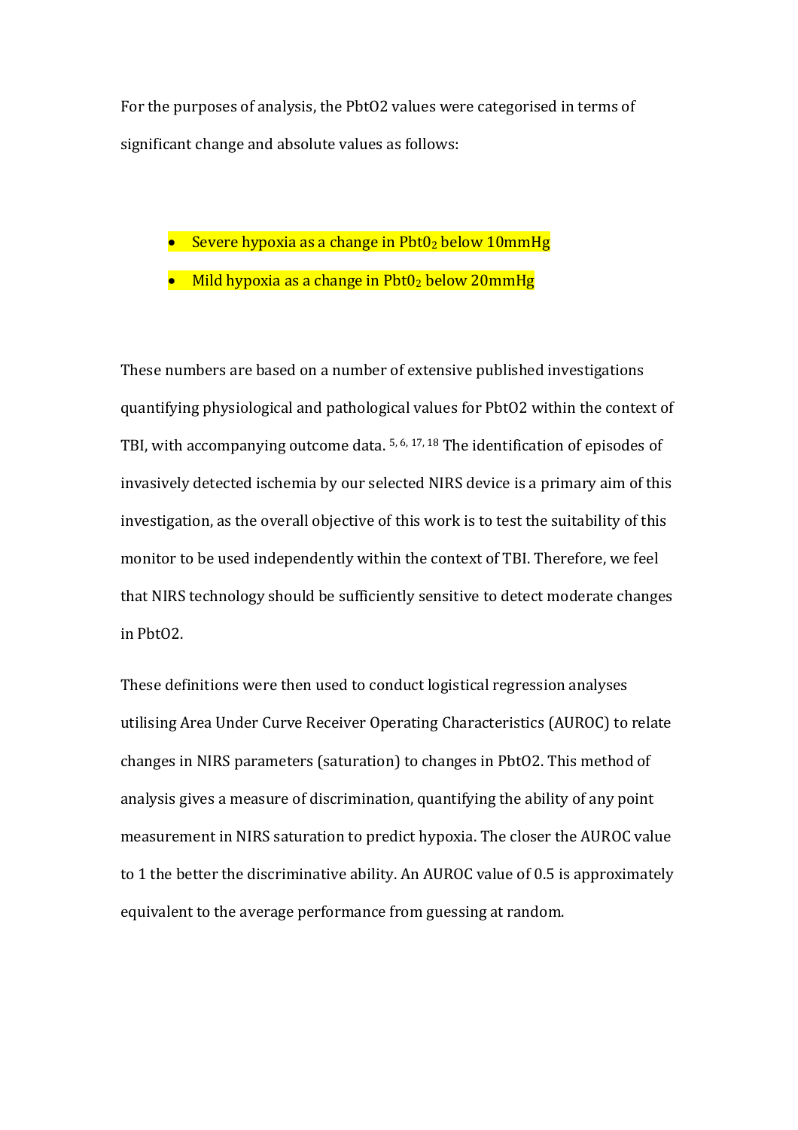For the purposes of analysis, the PbtO2 values were categorised in terms of significant change and absolute values as follows:

#### Severe hypoxia as a change in  $Pbt0<sub>2</sub>$  below 10mmHg

 $\bullet$  Mild hypoxia as a change in Pbt0<sub>2</sub> below 20mmHg

These numbers are based on a number of extensive published investigations quantifying physiological and pathological values for PbtO2 within the context of TBI, with accompanying outcome data. 5, 6, 17, 18 The identification of episodes of invasively detected ischemia by our selected NIRS device is a primary aim of this investigation, as the overall objective of this work is to test the suitability of this monitor to be used independently within the context of TBI. Therefore, we feel that NIRS technology should be sufficiently sensitive to detect moderate changes in PbtO2.

These definitions were then used to conduct logistical regression analyses utilising Area Under Curve Receiver Operating Characteristics (AUROC) to relate changes in NIRS parameters (saturation) to changes in PbtO2. This method of analysis gives a measure of discrimination, quantifying the ability of any point measurement in NIRS saturation to predict hypoxia. The closer the AUROC value to 1 the better the discriminative ability. An AUROC value of 0.5 is approximately equivalent to the average performance from guessing at random.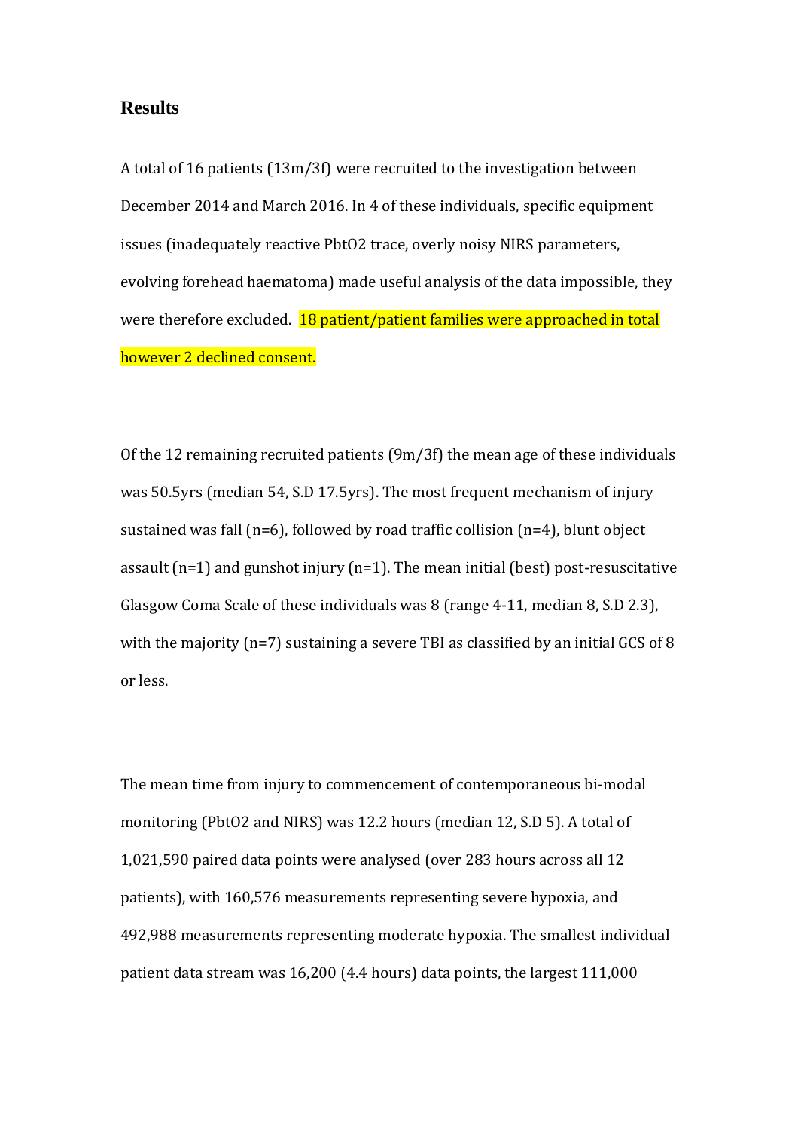#### **Results**

A total of 16 patients (13m/3f) were recruited to the investigation between December 2014 and March 2016. In 4 of these individuals, specific equipment issues (inadequately reactive PbtO2 trace, overly noisy NIRS parameters, evolving forehead haematoma) made useful analysis of the data impossible, they were therefore excluded. 18 patient/patient families were approached in total however 2 declined consent.

Of the 12 remaining recruited patients (9m/3f) the mean age of these individuals was 50.5yrs (median 54, S.D 17.5yrs). The most frequent mechanism of injury sustained was fall (n=6), followed by road traffic collision (n=4), blunt object assault  $(n=1)$  and gunshot injury  $(n=1)$ . The mean initial (best) post-resuscitative Glasgow Coma Scale of these individuals was 8 (range 4-11, median 8, S.D 2.3), with the majority (n=7) sustaining a severe TBI as classified by an initial GCS of 8 or less.

The mean time from injury to commencement of contemporaneous bi-modal monitoring (PbtO2 and NIRS) was 12.2 hours (median 12, S.D 5). A total of 1,021,590 paired data points were analysed (over 283 hours across all 12 patients), with 160,576 measurements representing severe hypoxia, and 492,988 measurements representing moderate hypoxia. The smallest individual patient data stream was 16,200 (4.4 hours) data points, the largest 111,000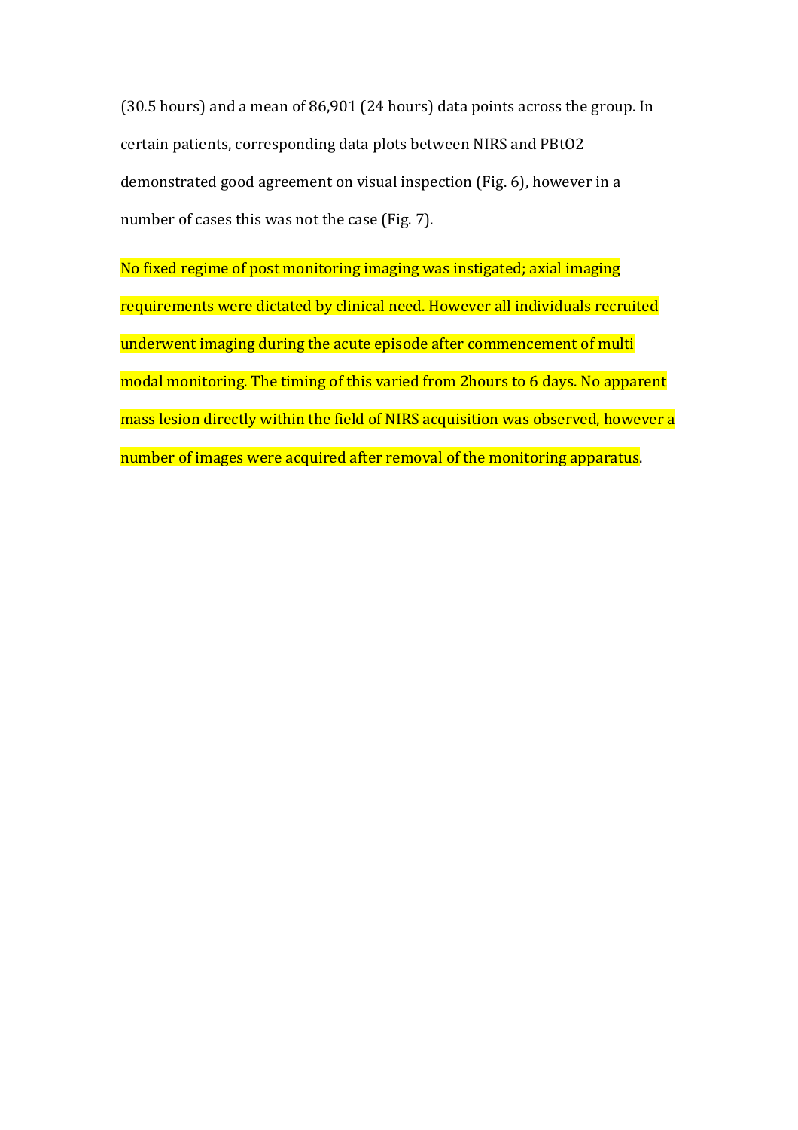(30.5 hours) and a mean of 86,901 (24 hours) data points across the group. In certain patients, corresponding data plots between NIRS and PBtO2 demonstrated good agreement on visual inspection (Fig. 6), however in a number of cases this was not the case (Fig. 7).

No fixed regime of post monitoring imaging was instigated; axial imaging requirements were dictated by clinical need. However all individuals recruited underwent imaging during the acute episode after commencement of multi modal monitoring. The timing of this varied from 2hours to 6 days. No apparent mass lesion directly within the field of NIRS acquisition was observed, however a number of images were acquired after removal of the monitoring apparatus.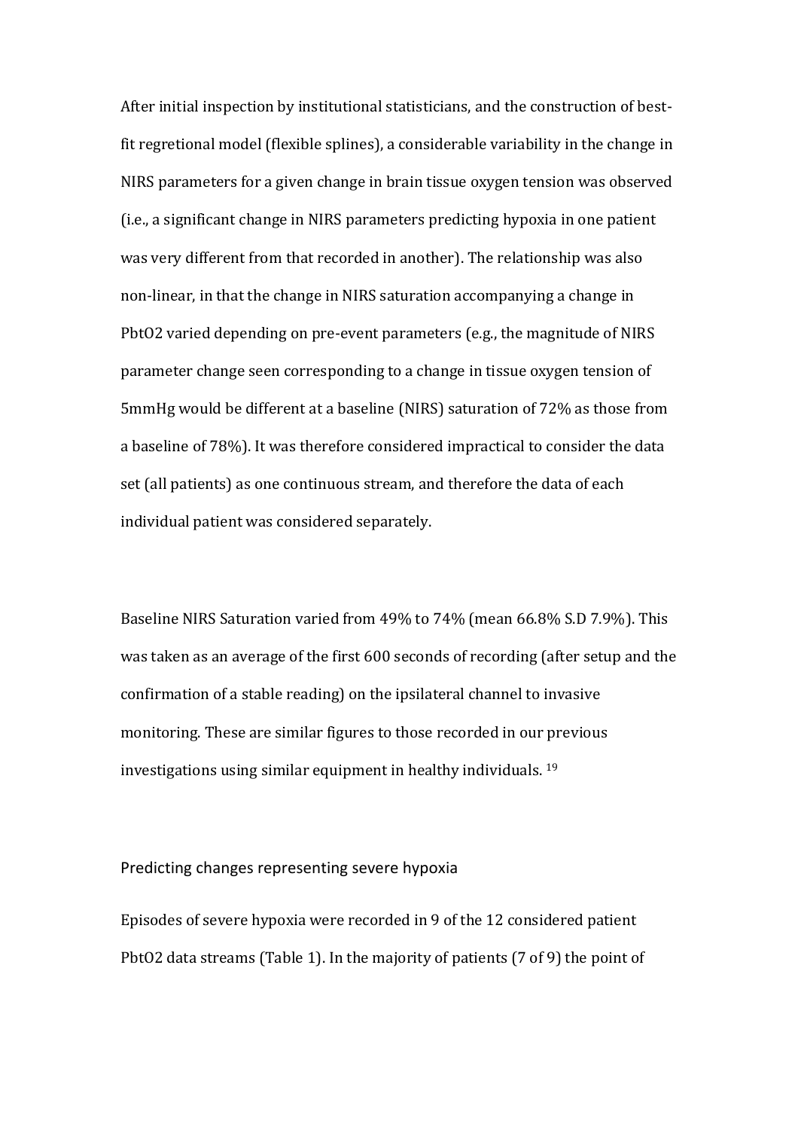After initial inspection by institutional statisticians, and the construction of bestfit regretional model (flexible splines), a considerable variability in the change in NIRS parameters for a given change in brain tissue oxygen tension was observed (i.e., a significant change in NIRS parameters predicting hypoxia in one patient was very different from that recorded in another). The relationship was also non-linear, in that the change in NIRS saturation accompanying a change in PbtO2 varied depending on pre-event parameters (e.g., the magnitude of NIRS parameter change seen corresponding to a change in tissue oxygen tension of 5mmHg would be different at a baseline (NIRS) saturation of 72% as those from a baseline of 78%). It was therefore considered impractical to consider the data set (all patients) as one continuous stream, and therefore the data of each individual patient was considered separately.

Baseline NIRS Saturation varied from 49% to 74% (mean 66.8% S.D 7.9%). This was taken as an average of the first 600 seconds of recording (after setup and the confirmation of a stable reading) on the ipsilateral channel to invasive monitoring. These are similar figures to those recorded in our previous investigations using similar equipment in healthy individuals. <sup>19</sup>

#### Predicting changes representing severe hypoxia

Episodes of severe hypoxia were recorded in 9 of the 12 considered patient PbtO2 data streams (Table 1). In the majority of patients (7 of 9) the point of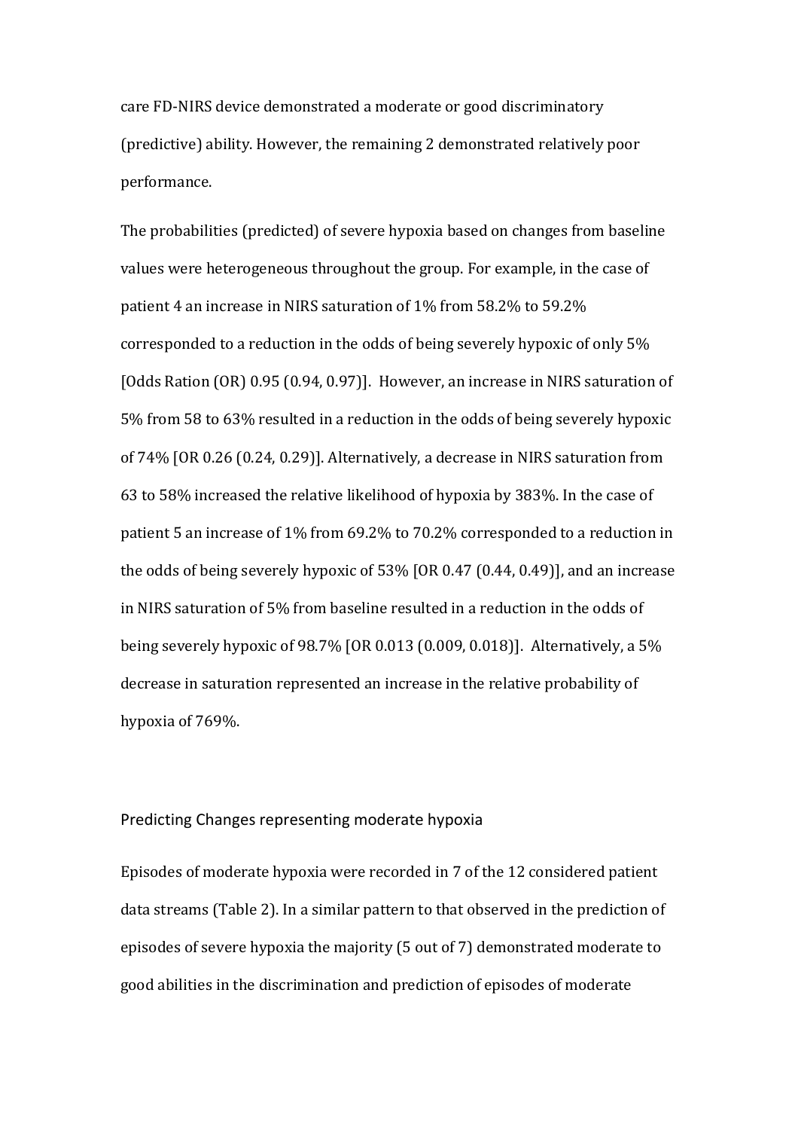care FD-NIRS device demonstrated a moderate or good discriminatory (predictive) ability. However, the remaining 2 demonstrated relatively poor performance.

The probabilities (predicted) of severe hypoxia based on changes from baseline values were heterogeneous throughout the group. For example, in the case of patient 4 an increase in NIRS saturation of 1% from 58.2% to 59.2% corresponded to a reduction in the odds of being severely hypoxic of only 5% [Odds Ration (OR) 0.95 (0.94, 0.97)]. However, an increase in NIRS saturation of 5% from 58 to 63% resulted in a reduction in the odds of being severely hypoxic of 74% [OR 0.26 (0.24, 0.29)]. Alternatively, a decrease in NIRS saturation from 63 to 58% increased the relative likelihood of hypoxia by 383%. In the case of patient 5 an increase of 1% from 69.2% to 70.2% corresponded to a reduction in the odds of being severely hypoxic of 53% [OR 0.47 (0.44, 0.49)], and an increase in NIRS saturation of 5% from baseline resulted in a reduction in the odds of being severely hypoxic of 98.7% [OR 0.013 (0.009, 0.018)]. Alternatively, a 5% decrease in saturation represented an increase in the relative probability of hypoxia of 769%.

#### Predicting Changes representing moderate hypoxia

Episodes of moderate hypoxia were recorded in 7 of the 12 considered patient data streams (Table 2). In a similar pattern to that observed in the prediction of episodes of severe hypoxia the majority (5 out of 7) demonstrated moderate to good abilities in the discrimination and prediction of episodes of moderate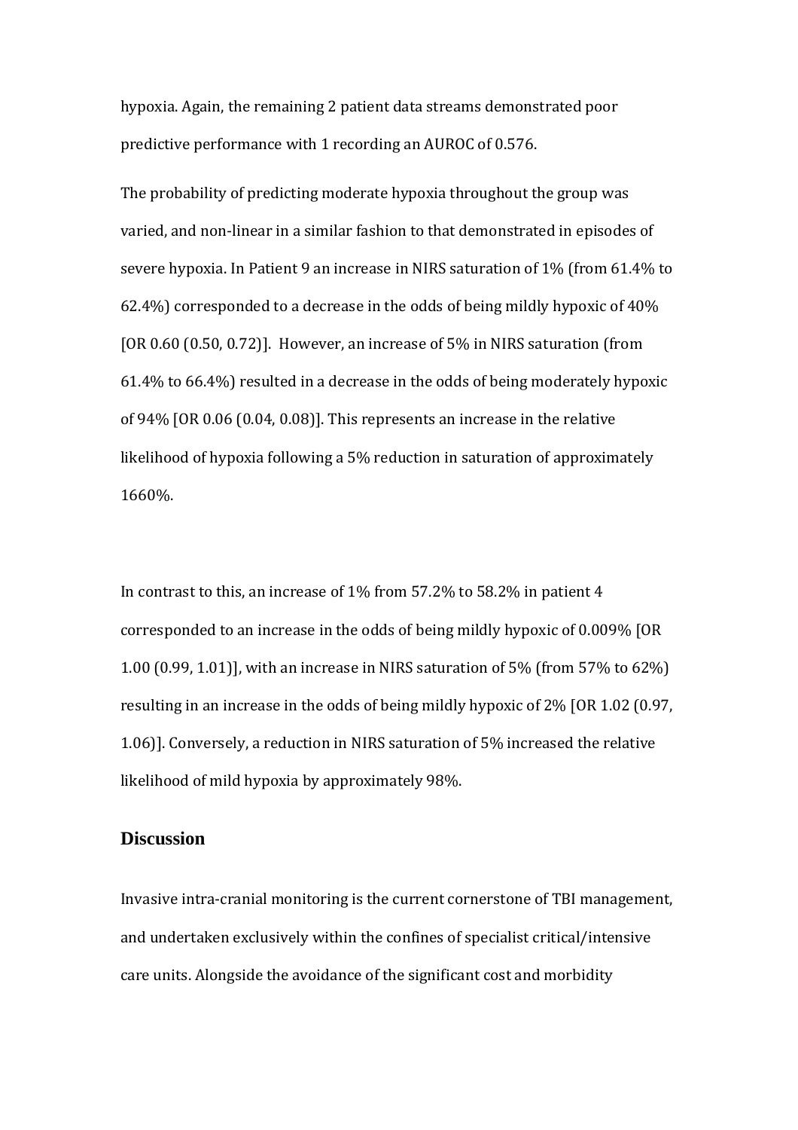hypoxia. Again, the remaining 2 patient data streams demonstrated poor predictive performance with 1 recording an AUROC of 0.576.

The probability of predicting moderate hypoxia throughout the group was varied, and non-linear in a similar fashion to that demonstrated in episodes of severe hypoxia. In Patient 9 an increase in NIRS saturation of 1% (from 61.4% to 62.4%) corresponded to a decrease in the odds of being mildly hypoxic of 40% [OR 0.60 (0.50, 0.72)]. However, an increase of 5% in NIRS saturation (from 61.4% to 66.4%) resulted in a decrease in the odds of being moderately hypoxic of 94% [OR 0.06 (0.04, 0.08)]. This represents an increase in the relative likelihood of hypoxia following a 5% reduction in saturation of approximately 1660%.

In contrast to this, an increase of 1% from 57.2% to 58.2% in patient 4 corresponded to an increase in the odds of being mildly hypoxic of 0.009% [OR 1.00 (0.99, 1.01)], with an increase in NIRS saturation of 5% (from 57% to 62%) resulting in an increase in the odds of being mildly hypoxic of 2% [OR 1.02 (0.97, 1.06)]. Conversely, a reduction in NIRS saturation of 5% increased the relative likelihood of mild hypoxia by approximately 98%.

#### **Discussion**

Invasive intra-cranial monitoring is the current cornerstone of TBI management, and undertaken exclusively within the confines of specialist critical/intensive care units. Alongside the avoidance of the significant cost and morbidity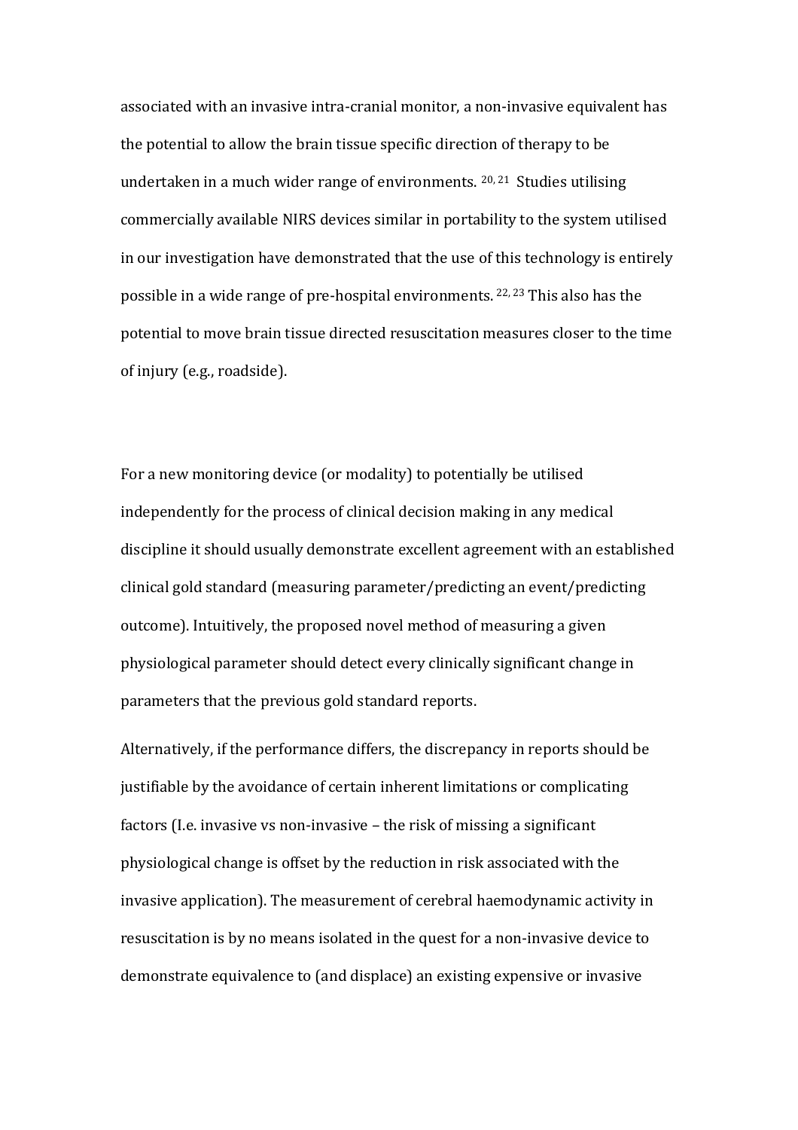associated with an invasive intra-cranial monitor, a non-invasive equivalent has the potential to allow the brain tissue specific direction of therapy to be undertaken in a much wider range of environments. 20, 21 Studies utilising commercially available NIRS devices similar in portability to the system utilised in our investigation have demonstrated that the use of this technology is entirely possible in a wide range of pre-hospital environments. 22, 23 This also has the potential to move brain tissue directed resuscitation measures closer to the time of injury (e.g., roadside).

For a new monitoring device (or modality) to potentially be utilised independently for the process of clinical decision making in any medical discipline it should usually demonstrate excellent agreement with an established clinical gold standard (measuring parameter/predicting an event/predicting outcome). Intuitively, the proposed novel method of measuring a given physiological parameter should detect every clinically significant change in parameters that the previous gold standard reports.

Alternatively, if the performance differs, the discrepancy in reports should be justifiable by the avoidance of certain inherent limitations or complicating factors (I.e. invasive vs non-invasive – the risk of missing a significant physiological change is offset by the reduction in risk associated with the invasive application). The measurement of cerebral haemodynamic activity in resuscitation is by no means isolated in the quest for a non-invasive device to demonstrate equivalence to (and displace) an existing expensive or invasive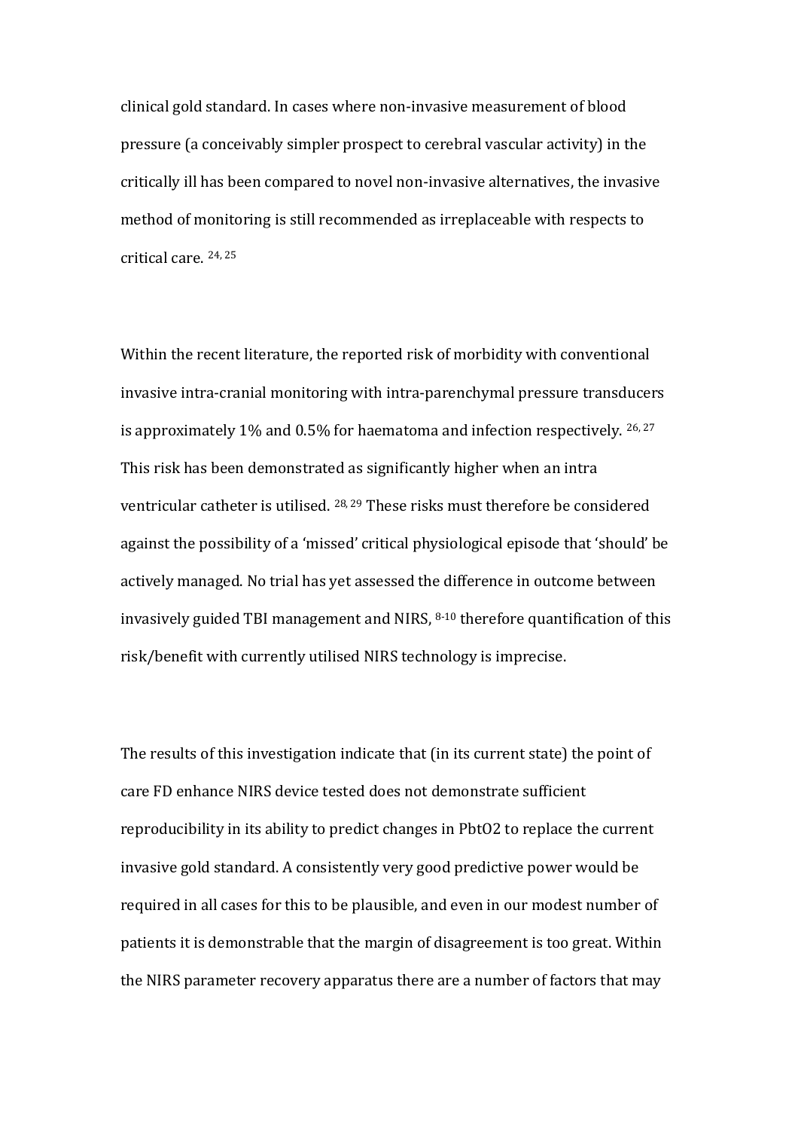clinical gold standard. In cases where non-invasive measurement of blood pressure (a conceivably simpler prospect to cerebral vascular activity) in the critically ill has been compared to novel non-invasive alternatives, the invasive method of monitoring is still recommended as irreplaceable with respects to critical care. 24, 25

Within the recent literature, the reported risk of morbidity with conventional invasive intra-cranial monitoring with intra-parenchymal pressure transducers is approximately 1% and 0.5% for haematoma and infection respectively. <sup>26, 27</sup> This risk has been demonstrated as significantly higher when an intra ventricular catheter is utilised. 28, 29 These risks must therefore be considered against the possibility of a 'missed' critical physiological episode that 'should' be actively managed. No trial has yet assessed the difference in outcome between invasively guided TBI management and NIRS, 8-10 therefore quantification of this risk/benefit with currently utilised NIRS technology is imprecise.

The results of this investigation indicate that (in its current state) the point of care FD enhance NIRS device tested does not demonstrate sufficient reproducibility in its ability to predict changes in PbtO2 to replace the current invasive gold standard. A consistently very good predictive power would be required in all cases for this to be plausible, and even in our modest number of patients it is demonstrable that the margin of disagreement is too great. Within the NIRS parameter recovery apparatus there are a number of factors that may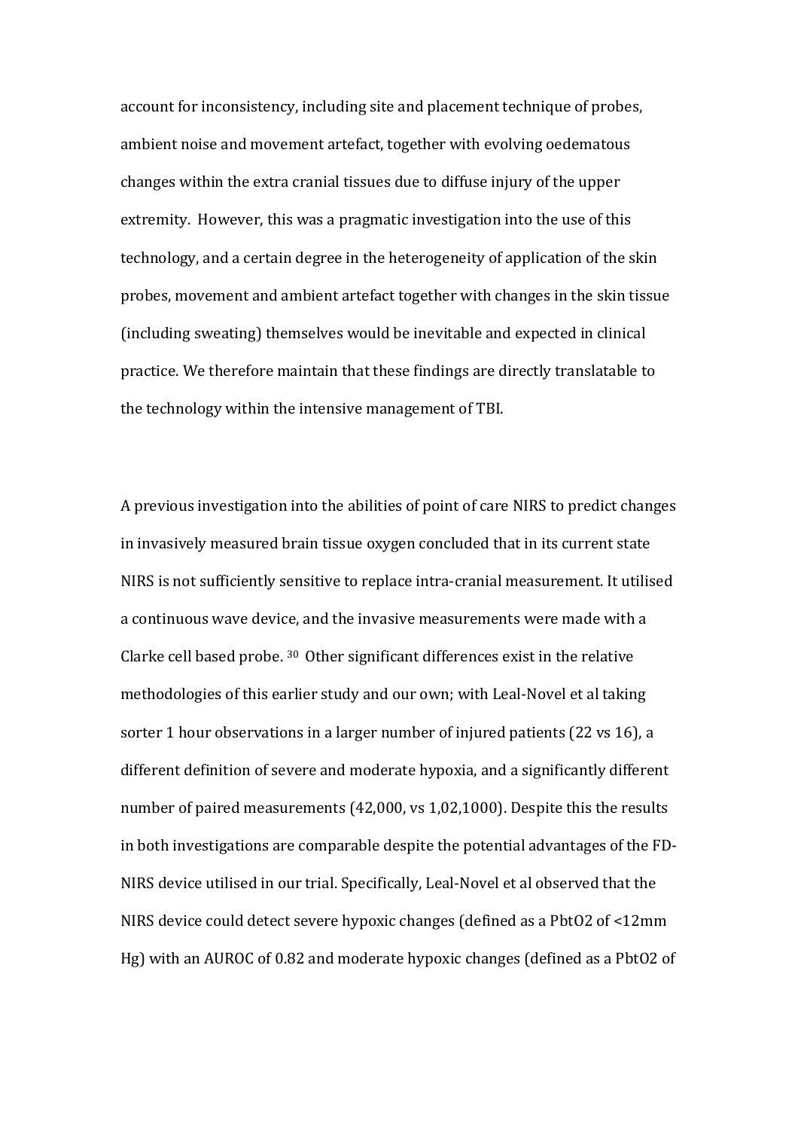account for inconsistency, including site and placement technique of probes, ambient noise and movement artefact, together with evolving oedematous changes within the extra cranial tissues due to diffuse injury of the upper extremity. However, this was a pragmatic investigation into the use of this technology, and a certain degree in the heterogeneity of application of the skin probes, movement and ambient artefact together with changes in the skin tissue (including sweating) themselves would be inevitable and expected in clinical practice. We therefore maintain that these findings are directly translatable to the technology within the intensive management of TBI.

A previous investigation into the abilities of point of care NIRS to predict changes in invasively measured brain tissue oxygen concluded that in its current state NIRS is not sufficiently sensitive to replace intra-cranial measurement. It utilised a continuous wave device, and the invasive measurements were made with a Clarke cell based probe. <sup>30</sup> Other significant differences exist in the relative methodologies of this earlier study and our own; with Leal-Novel et al taking sorter 1 hour observations in a larger number of injured patients (22 vs 16), a different definition of severe and moderate hypoxia, and a significantly different number of paired measurements (42,000, vs 1,02,1000). Despite this the results in both investigations are comparable despite the potential advantages of the FD-NIRS device utilised in our trial. Specifically, Leal-Novel et al observed that the NIRS device could detect severe hypoxic changes (defined as a PbtO2 of <12mm Hg) with an AUROC of 0.82 and moderate hypoxic changes (defined as a PbtO2 of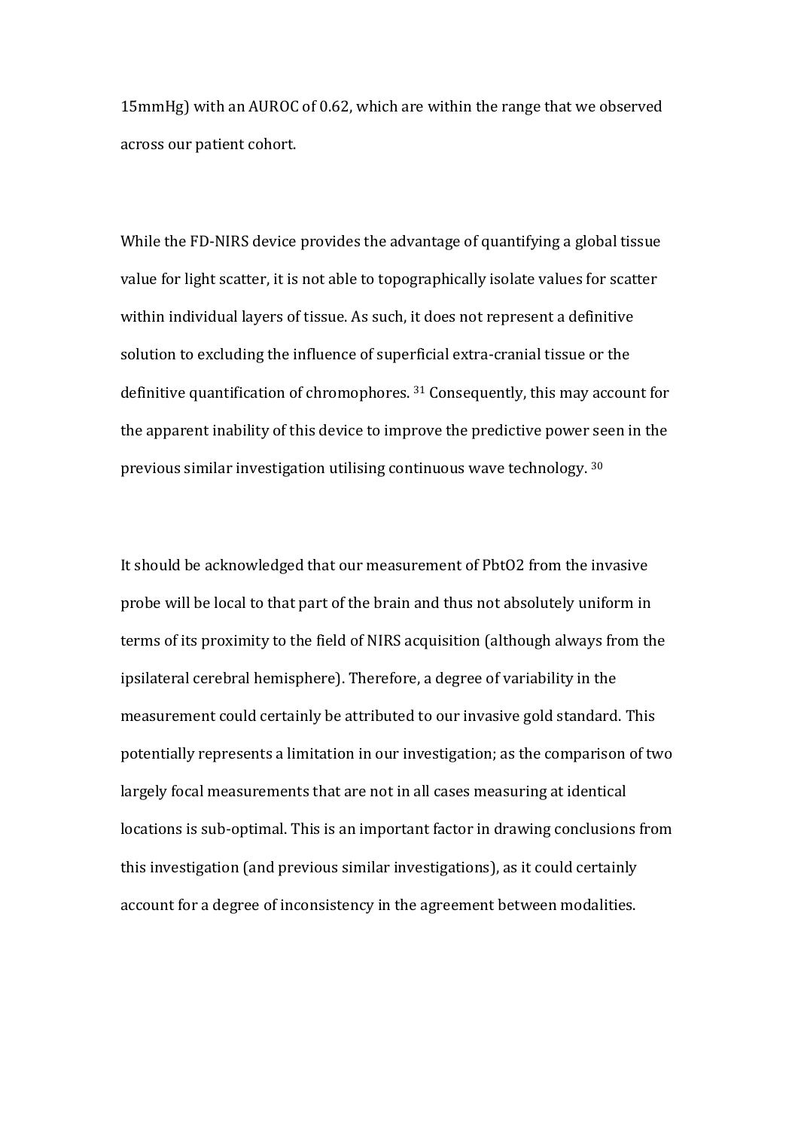15mmHg) with an AUROC of 0.62, which are within the range that we observed across our patient cohort.

While the FD-NIRS device provides the advantage of quantifying a global tissue value for light scatter, it is not able to topographically isolate values for scatter within individual layers of tissue. As such, it does not represent a definitive solution to excluding the influence of superficial extra-cranial tissue or the definitive quantification of chromophores. <sup>31</sup> Consequently, this may account for the apparent inability of this device to improve the predictive power seen in the previous similar investigation utilising continuous wave technology. <sup>30</sup>

It should be acknowledged that our measurement of PbtO2 from the invasive probe will be local to that part of the brain and thus not absolutely uniform in terms of its proximity to the field of NIRS acquisition (although always from the ipsilateral cerebral hemisphere). Therefore, a degree of variability in the measurement could certainly be attributed to our invasive gold standard. This potentially represents a limitation in our investigation; as the comparison of two largely focal measurements that are not in all cases measuring at identical locations is sub-optimal. This is an important factor in drawing conclusions from this investigation (and previous similar investigations), as it could certainly account for a degree of inconsistency in the agreement between modalities.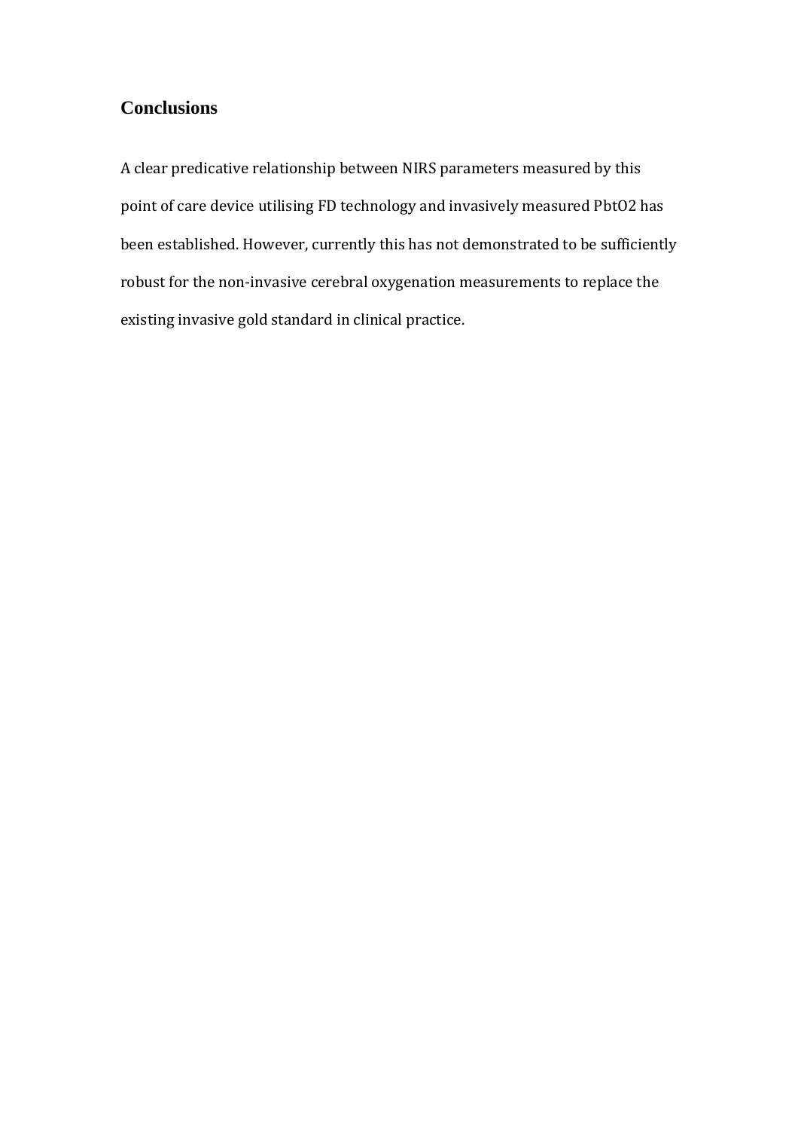## **Conclusions**

A clear predicative relationship between NIRS parameters measured by this point of care device utilising FD technology and invasively measured PbtO2 has been established. However, currently this has not demonstrated to be sufficiently robust for the non-invasive cerebral oxygenation measurements to replace the existing invasive gold standard in clinical practice.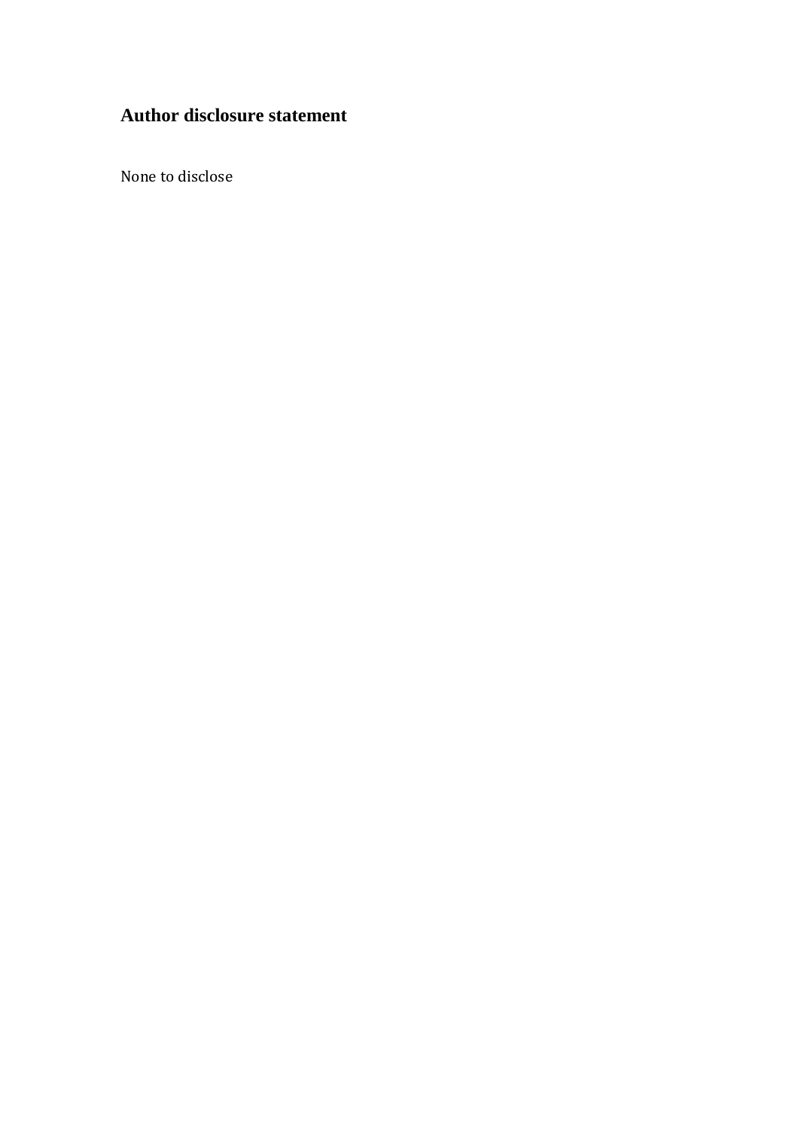# **Author disclosure statement**

None to disclose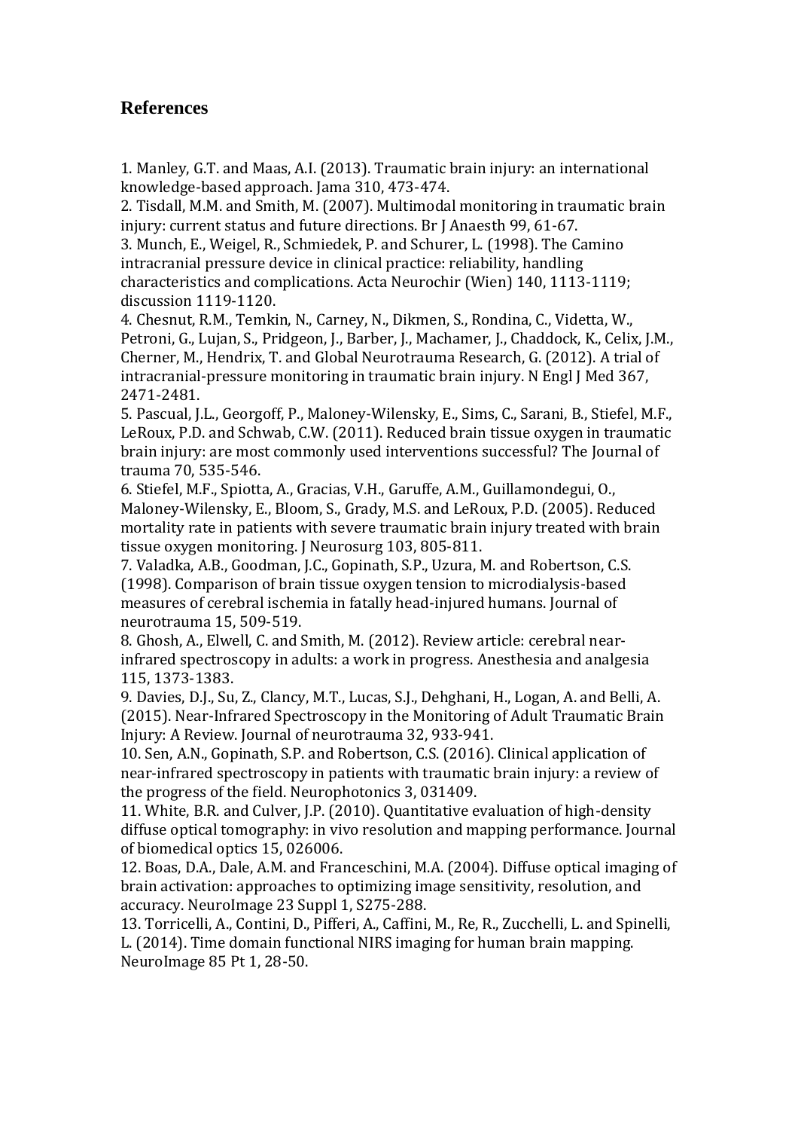## **References**

1. Manley, G.T. and Maas, A.I. (2013). Traumatic brain injury: an international knowledge-based approach. Jama 310, 473-474.

2. Tisdall, M.M. and Smith, M. (2007). Multimodal monitoring in traumatic brain injury: current status and future directions. Br J Anaesth 99, 61-67.

3. Munch, E., Weigel, R., Schmiedek, P. and Schurer, L. (1998). The Camino intracranial pressure device in clinical practice: reliability, handling characteristics and complications. Acta Neurochir (Wien) 140, 1113-1119; discussion 1119-1120.

4. Chesnut, R.M., Temkin, N., Carney, N., Dikmen, S., Rondina, C., Videtta, W., Petroni, G., Lujan, S., Pridgeon, J., Barber, J., Machamer, J., Chaddock, K., Celix, J.M., Cherner, M., Hendrix, T. and Global Neurotrauma Research, G. (2012). A trial of intracranial-pressure monitoring in traumatic brain injury. N Engl J Med 367, 2471-2481.

5. Pascual, J.L., Georgoff, P., Maloney-Wilensky, E., Sims, C., Sarani, B., Stiefel, M.F., LeRoux, P.D. and Schwab, C.W. (2011). Reduced brain tissue oxygen in traumatic brain injury: are most commonly used interventions successful? The Journal of trauma 70, 535-546.

6. Stiefel, M.F., Spiotta, A., Gracias, V.H., Garuffe, A.M., Guillamondegui, O., Maloney-Wilensky, E., Bloom, S., Grady, M.S. and LeRoux, P.D. (2005). Reduced mortality rate in patients with severe traumatic brain injury treated with brain tissue oxygen monitoring. J Neurosurg 103, 805-811.

7. Valadka, A.B., Goodman, J.C., Gopinath, S.P., Uzura, M. and Robertson, C.S. (1998). Comparison of brain tissue oxygen tension to microdialysis-based measures of cerebral ischemia in fatally head-injured humans. Journal of neurotrauma 15, 509-519.

8. Ghosh, A., Elwell, C. and Smith, M. (2012). Review article: cerebral nearinfrared spectroscopy in adults: a work in progress. Anesthesia and analgesia 115, 1373-1383.

9. Davies, D.J., Su, Z., Clancy, M.T., Lucas, S.J., Dehghani, H., Logan, A. and Belli, A. (2015). Near-Infrared Spectroscopy in the Monitoring of Adult Traumatic Brain Injury: A Review. Journal of neurotrauma 32, 933-941.

10. Sen, A.N., Gopinath, S.P. and Robertson, C.S. (2016). Clinical application of near-infrared spectroscopy in patients with traumatic brain injury: a review of the progress of the field. Neurophotonics 3, 031409.

11. White, B.R. and Culver, J.P. (2010). Quantitative evaluation of high-density diffuse optical tomography: in vivo resolution and mapping performance. Journal of biomedical optics 15, 026006.

12. Boas, D.A., Dale, A.M. and Franceschini, M.A. (2004). Diffuse optical imaging of brain activation: approaches to optimizing image sensitivity, resolution, and accuracy. NeuroImage 23 Suppl 1, S275-288.

13. Torricelli, A., Contini, D., Pifferi, A., Caffini, M., Re, R., Zucchelli, L. and Spinelli, L. (2014). Time domain functional NIRS imaging for human brain mapping. NeuroImage 85 Pt 1, 28-50.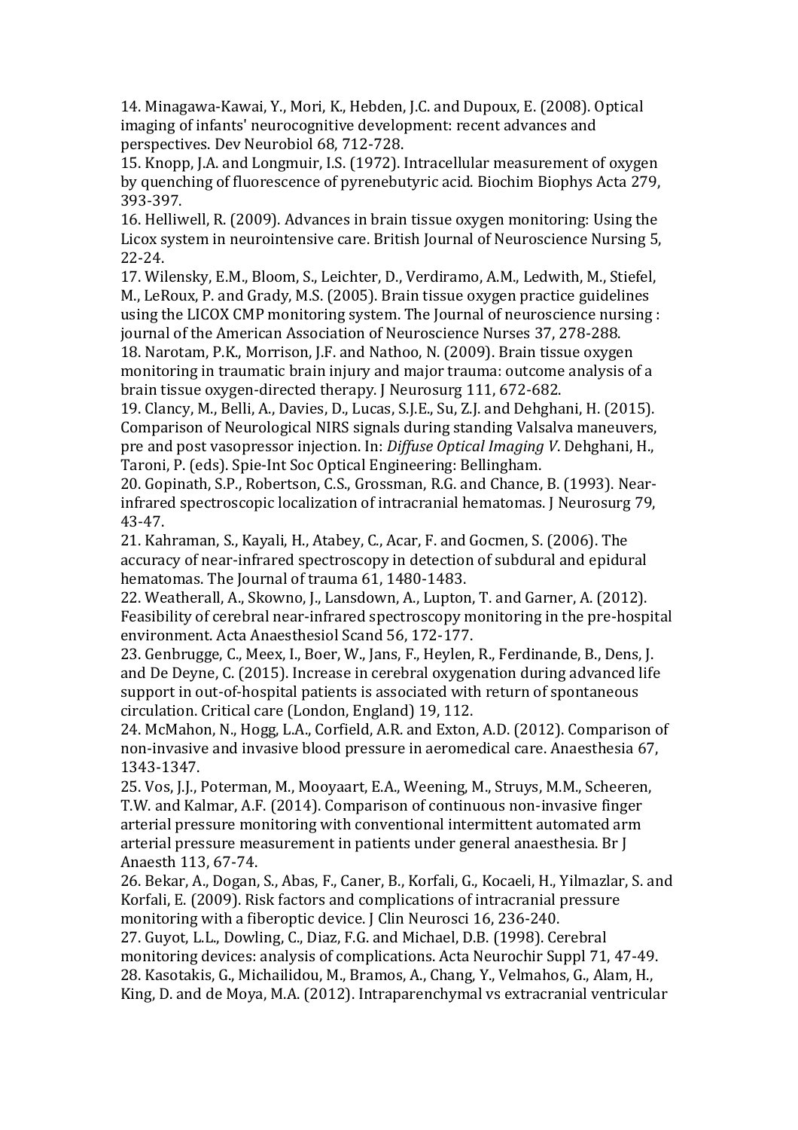14. Minagawa-Kawai, Y., Mori, K., Hebden, J.C. and Dupoux, E. (2008). Optical imaging of infants' neurocognitive development: recent advances and perspectives. Dev Neurobiol 68, 712-728.

15. Knopp, J.A. and Longmuir, I.S. (1972). Intracellular measurement of oxygen by quenching of fluorescence of pyrenebutyric acid. Biochim Biophys Acta 279, 393-397.

16. Helliwell, R. (2009). Advances in brain tissue oxygen monitoring: Using the Licox system in neurointensive care. British Journal of Neuroscience Nursing 5, 22-24.

17. Wilensky, E.M., Bloom, S., Leichter, D., Verdiramo, A.M., Ledwith, M., Stiefel, M., LeRoux, P. and Grady, M.S. (2005). Brain tissue oxygen practice guidelines using the LICOX CMP monitoring system. The Journal of neuroscience nursing : journal of the American Association of Neuroscience Nurses 37, 278-288.

18. Narotam, P.K., Morrison, J.F. and Nathoo, N. (2009). Brain tissue oxygen monitoring in traumatic brain injury and major trauma: outcome analysis of a brain tissue oxygen-directed therapy. J Neurosurg 111, 672-682.

19. Clancy, M., Belli, A., Davies, D., Lucas, S.J.E., Su, Z.J. and Dehghani, H. (2015). Comparison of Neurological NIRS signals during standing Valsalva maneuvers, pre and post vasopressor injection. In: *Diffuse Optical Imaging V*. Dehghani, H., Taroni, P. (eds). Spie-Int Soc Optical Engineering: Bellingham.

20. Gopinath, S.P., Robertson, C.S., Grossman, R.G. and Chance, B. (1993). Nearinfrared spectroscopic localization of intracranial hematomas. J Neurosurg 79, 43-47.

21. Kahraman, S., Kayali, H., Atabey, C., Acar, F. and Gocmen, S. (2006). The accuracy of near-infrared spectroscopy in detection of subdural and epidural hematomas. The Journal of trauma 61, 1480-1483.

22. Weatherall, A., Skowno, J., Lansdown, A., Lupton, T. and Garner, A. (2012). Feasibility of cerebral near-infrared spectroscopy monitoring in the pre-hospital environment. Acta Anaesthesiol Scand 56, 172-177.

23. Genbrugge, C., Meex, I., Boer, W., Jans, F., Heylen, R., Ferdinande, B., Dens, J. and De Deyne, C. (2015). Increase in cerebral oxygenation during advanced life support in out-of-hospital patients is associated with return of spontaneous circulation. Critical care (London, England) 19, 112.

24. McMahon, N., Hogg, L.A., Corfield, A.R. and Exton, A.D. (2012). Comparison of non-invasive and invasive blood pressure in aeromedical care. Anaesthesia 67, 1343-1347.

25. Vos, J.J., Poterman, M., Mooyaart, E.A., Weening, M., Struys, M.M., Scheeren, T.W. and Kalmar, A.F. (2014). Comparison of continuous non-invasive finger arterial pressure monitoring with conventional intermittent automated arm arterial pressure measurement in patients under general anaesthesia. Br J Anaesth 113, 67-74.

26. Bekar, A., Dogan, S., Abas, F., Caner, B., Korfali, G., Kocaeli, H., Yilmazlar, S. and Korfali, E. (2009). Risk factors and complications of intracranial pressure monitoring with a fiberoptic device. J Clin Neurosci 16, 236-240.

27. Guyot, L.L., Dowling, C., Diaz, F.G. and Michael, D.B. (1998). Cerebral monitoring devices: analysis of complications. Acta Neurochir Suppl 71, 47-49. 28. Kasotakis, G., Michailidou, M., Bramos, A., Chang, Y., Velmahos, G., Alam, H., King, D. and de Moya, M.A. (2012). Intraparenchymal vs extracranial ventricular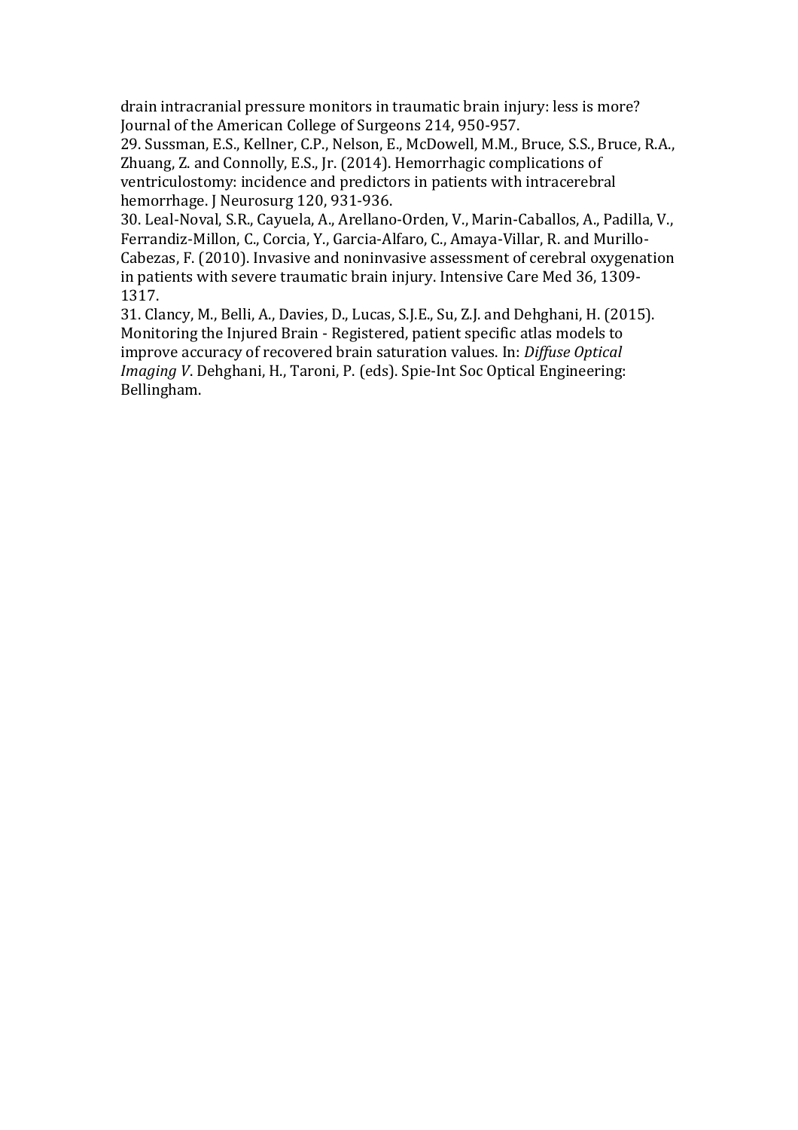drain intracranial pressure monitors in traumatic brain injury: less is more? Journal of the American College of Surgeons 214, 950-957.

29. Sussman, E.S., Kellner, C.P., Nelson, E., McDowell, M.M., Bruce, S.S., Bruce, R.A., Zhuang, Z. and Connolly, E.S., Jr. (2014). Hemorrhagic complications of ventriculostomy: incidence and predictors in patients with intracerebral hemorrhage. J Neurosurg 120, 931-936.

30. Leal-Noval, S.R., Cayuela, A., Arellano-Orden, V., Marin-Caballos, A., Padilla, V., Ferrandiz-Millon, C., Corcia, Y., Garcia-Alfaro, C., Amaya-Villar, R. and Murillo-Cabezas, F. (2010). Invasive and noninvasive assessment of cerebral oxygenation in patients with severe traumatic brain injury. Intensive Care Med 36, 1309- 1317.

31. Clancy, M., Belli, A., Davies, D., Lucas, S.J.E., Su, Z.J. and Dehghani, H. (2015). Monitoring the Injured Brain - Registered, patient specific atlas models to improve accuracy of recovered brain saturation values. In: *Diffuse Optical Imaging V*. Dehghani, H., Taroni, P. (eds). Spie-Int Soc Optical Engineering: Bellingham.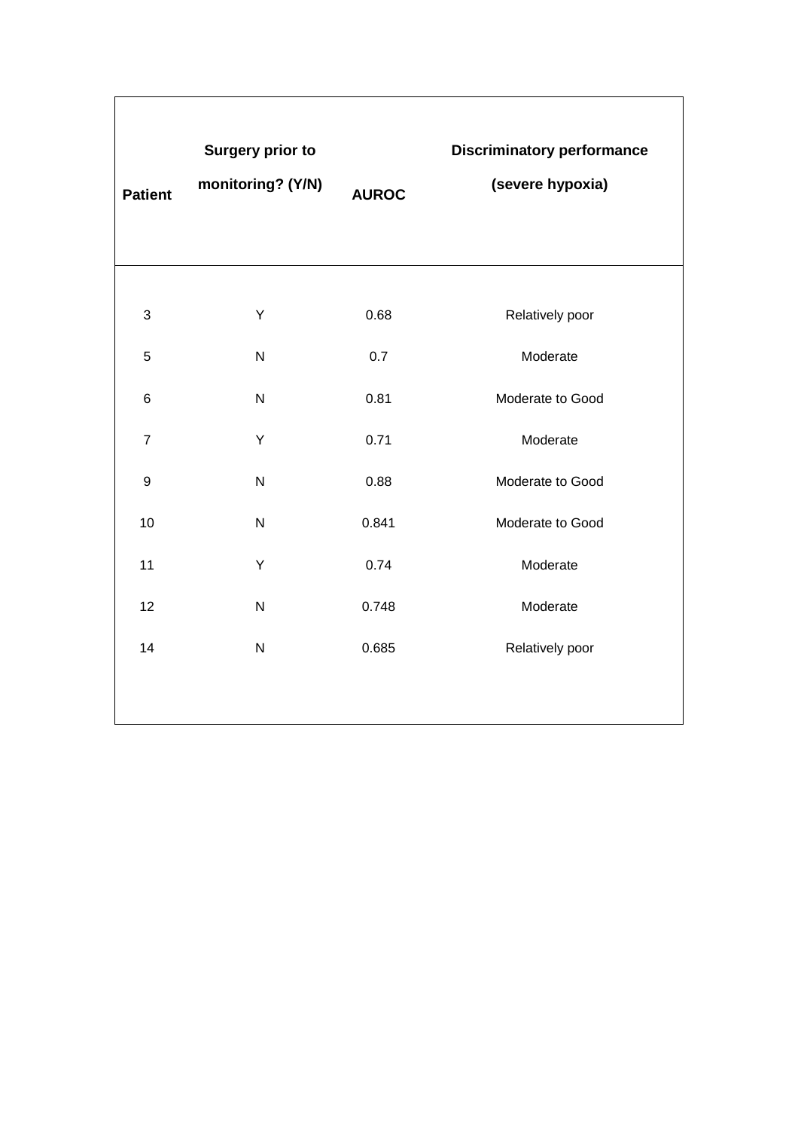| <b>Patient</b>   | <b>Surgery prior to</b><br>monitoring? (Y/N) | <b>AUROC</b> | <b>Discriminatory performance</b><br>(severe hypoxia) |
|------------------|----------------------------------------------|--------------|-------------------------------------------------------|
| $\sqrt{3}$       | Y                                            | 0.68         | Relatively poor                                       |
| 5                | N                                            | 0.7          | Moderate                                              |
| $\,6$            | $\overline{\mathsf{N}}$                      | 0.81         | Moderate to Good                                      |
| $\overline{7}$   | Υ                                            | 0.71         | Moderate                                              |
| $\boldsymbol{9}$ | N                                            | 0.88         | Moderate to Good                                      |
| 10               | N                                            | 0.841        | Moderate to Good                                      |
| 11               | Υ                                            | 0.74         | Moderate                                              |
| 12               | N                                            | 0.748        | Moderate                                              |
| 14               | N                                            | 0.685        | Relatively poor                                       |
|                  |                                              |              |                                                       |